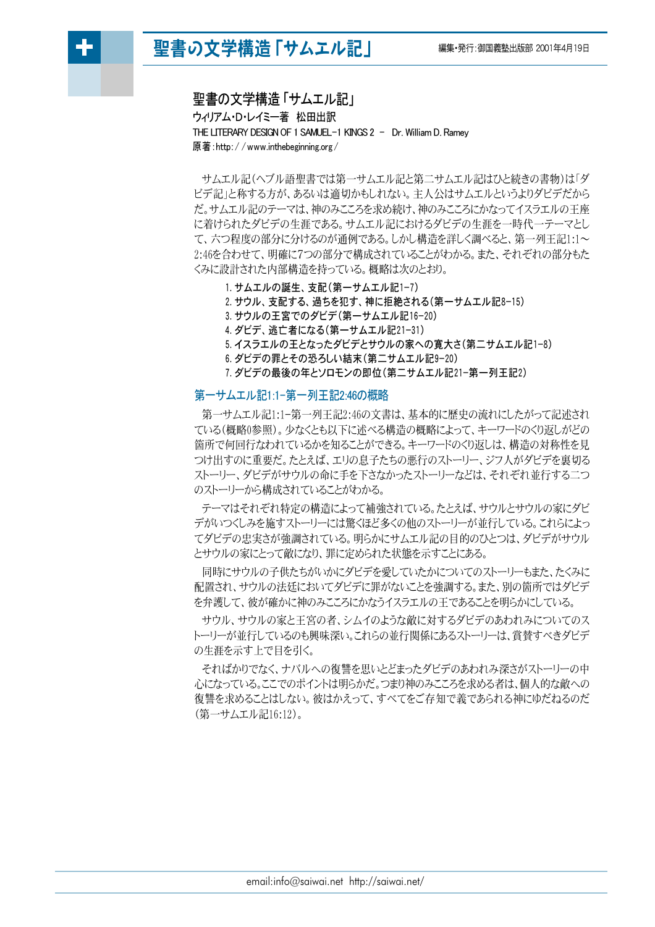# 聖書の文学構造「サムエル記」



聖書の文学構造「サムエル記」 ウィリアム・D・レイミー著 松田出訳 THE LITERARY DESIGN OF 1 SAMUEL-1 KINGS 2 - Dr. William D. Ramey 原著:http://www.inthebeginning.org/

サムエル記(ヘブル語聖書では第一サムエル記と第二サムエル記はひと続きの書物)は「ダ ビデ記」と称する方が、あるいは適切かもしれない。 主人公はサムエルというよりダビデだから だ。サムエル記のテーマは、神のみこころを求め続け、神のみこころにかなってイスラエルの王座 に着けられたダビデの生涯である。サムエル記におけるダビデの生涯を一時代一テーマとし て、六つ程度の部分に分けるのが通例である。しかし構造を詳しく調べると、第一列王記1:1~ 2:46を合わせて、明確に7つの部分で構成されていることがわかる。また、それぞれの部分もた くみに設計された内部構造を持っている。概略は次のとおり。

1. サムエルの誕生、支配 (第一サムエル記1-7)

2. サウル、支配する、過ちを犯す、神に拒絶される(第一サムエル記8-15)

- 3. サウルの王宮でのダビデ(第一サムエル記16-20)
- 4. ダビデ、逃亡者になる(第一サムエル記21-31)
- 5. イスラエルの王となったダビデとサウルの家への寛大さ(第二サムエル記1-8)
- 6. ダビデの罪とその恐ろしい結末 (第二サムエル記9-20)
- 7. ダビデの最後の年とソロモンの即位 (第二サムエル記21-第一列王記2)

# 第一サムエル記1:1-第一列王記2:46の概略

第一サムエル記1:1-第一列王記2:46の文書は、基本的に歴史の流れにしたがって記述され ている(概略0参照)。少なくとも以下に述べる構造の概略によって、キーワードのくり返しがどの 箇所で何回行なわれているかを知ることができる。キーワードのくり返しは、構造の対称性を見 つけ出すのに重要だ。たとえば、エリの息子たちの悪行のストーリー、ジフ人がダビデを裏切る ストーリー、ダビデがサウルの命に手を下さなかったストーリーなどは、それぞれ並行する二つ のストーリーから構成されていることがわかる。

テーマはそれぞれ特定の構造によって補強されている。たとえば、サウルとサウルの家にダビ デがいつくしみを施すストーリーには驚くほど多くの他のストーリーが並行している。これらによっ てダビデの忠実さが強調されている。明らかにサムエル記の目的のひとつは、ダビデがサウル とサウルの家にとって敵になり、罪に定められた状態を示すことにある。

同時にサウルの子供たちがいかにダビデを愛していたかについてのストーリーもまた、たくみに 配置され、サウルの法廷においてダビデに罪がないことを強調する。また、別の箇所ではダビデ を弁護して、彼が確かに神のみこころにかなうイスラエルの王であることを明らかにしている。

サウル、サウルの家と王宮の者、シムイのような敵に対するダビデのあわれみについてのス トーリーが並行しているのも興味深い。これらの並行関係にあるストーリーは、賞賛すべきダビデ の生涯を示す上で目を引く。

そればかりでなく、ナバルへの復讐を思いとどまったダビデのあわれみ深さがストーリーの中 心になっている。ここでのポイントは明らかだ。つまり神のみこころを求める者は、個人的な敵への 復讐を求めることはしない。彼はかえって、すべてをご存知で義であられる神にゆだねるのだ (第一サムエル記16:12)。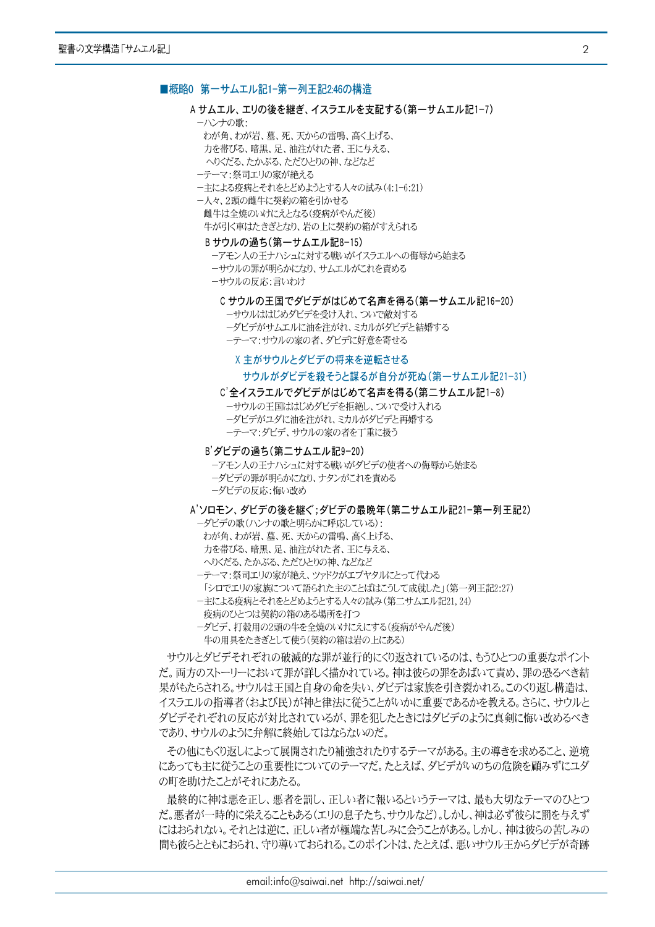#### ■概略0 第一サムエル記1-第一列王記2:46の構造

#### A サムエル、エリの後を継ぎ、イスラエルを支配する(第一サムエル記1-7)

- ーハンナの歌・
- わが角、わが岩、墓、死、天からの雷鳴、高く上げる、
- 力を帯びる、暗黒、足、油注がれた者、王に与える、
- へりくだる、たかぶる、ただひとりの神、などなど
- ーテーマ:祭司エリの家が絶える
- ー主による疫病とそれをとどめようとする人々の試み(4:1-6:21)
- ー人々、2頭の雌牛に契約の箱を引かせる 雌牛は全焼のいけにえとなる(疫病がやんだ後) 牛が引く車はたきぎとなり、岩の上に契約の箱がすえられる

#### Bサウルの過ち(第一サムエル記8-15)

- ーアモン人の王ナハシュに対する戦いがイスラエルへの侮辱から始まる
- ーサウルの罪が明らかになり、サムエルがこれを責める
- ーサウルの反応:言いわけ

#### Cサウルの王国でダビデがはじめて名声を得る(第一サムエル記16-20)

- ーサウルははじめダビデを受け入れ、ついで敵対する
- ーダビデがサムエルに油を注がれ、ミカルがダビデと結婚する
- ーテーマ:サウルの家の者、ダビデに好意を寄せる

# X 主がサウルとダビデの将来を逆転させる

#### サウルがダビデを殺そうと謀るが自分が死ぬ(第一サムエル記21-31)

# C'全イスラエルでダビデがはじめて名声を得る(第二サムエル記1-8)

- ーサウルの王国ははじめダビデを拒絶し、ついで受け入れる
- ーダビデがユダに油を注がれ、ミカルがダビデと再婚する
- ーテーマ:ダビデ、サウルの家の者を丁重に扱う

## B'ダビデの過ち(第二サムエル記9-20)

- ーアモン人の干ナハシュに対する戦いがダビデの使者への侮辱から始まる
- ーダビデの罪が明らかになり、ナタンがこれを責める
- ーダビデの反応:悔い改め

#### A'ソロモン、ダビデの後を継ぐ:ダビデの最晩年(第二サムエル記21-第一列王記2)

- ーダビデの歌(ハンナの歌と明らかに呼応している):
	- わが角、わが岩、墓、死、天からの雷鳴、高く上げる、
- 力を帯びる、暗黒、足、油注がれた者、王に与える、
- へりくだる、たかぶる、ただひとりの神、などなど
- ーテーマ:祭司エリの家が絶え、ツァドクがエブヤタルにとって代わる
- 「シロでエリの家族について語られた主のことばはこうして成就した」(第一列王記2:27)
- ー主による疫病とそれをとどめようとする人々の試み(第二サムエル記21,24)
- 疫病のひとつは契約の箱のある場所を打つ
- ーダビデ、打穀用の2頭の牛を全焼のいけにえにする(疫病がやんだ後) 牛の用具をたきぎとして使う(契約の箱は岩の上にある)

サウルとダビデそれぞれの破滅的な罪が並行的にくり返されているのは、もうひとつの重要なポイント だ。両方のストーリーにおいて罪が詳しく描かれている。神は彼らの罪をあばいて責め、罪の恐るべき結 果がもたらされる。サウルは王国と自身の命を失い、ダビデは家族を引き裂かれる。このくり返し構造は、 イスラエルの指導者(および民)が神と律法に従うことがいかに重要であるかを教える。さらに、サウルと ダビデそれぞれの反応が対比されているが、罪を犯したときにはダビデのように真剣に悔い改めるべき であり、サウルのように弁解に終始してはならないのだ。

その他にもくり返しによって展開されたり補強されたりするテーマがある。主の導きを求めること、逆境 にあっても主に従うことの重要性についてのテーマだ。たとえば、ダビデがいのちの危険を顧みずにユダ の町を助けたことがそれにあたる。

最終的に神は悪を正し、悪者を罰し、正しい者に報いるというテーマは、最も大切なテーマのひとつ だ。悪者が一時的に栄えることもある(エリの息子たち、サウルなど)。しかし、神は必ず彼らに罰を与えず にはおられない。それとは逆に、正しい者が極端な苦しみに会うことがある。しかし、神は彼らの苦しみの 間も彼らとともにおられ、守り導いておられる。このポイントは、たとえば、悪いサウル王からダビデが奇跡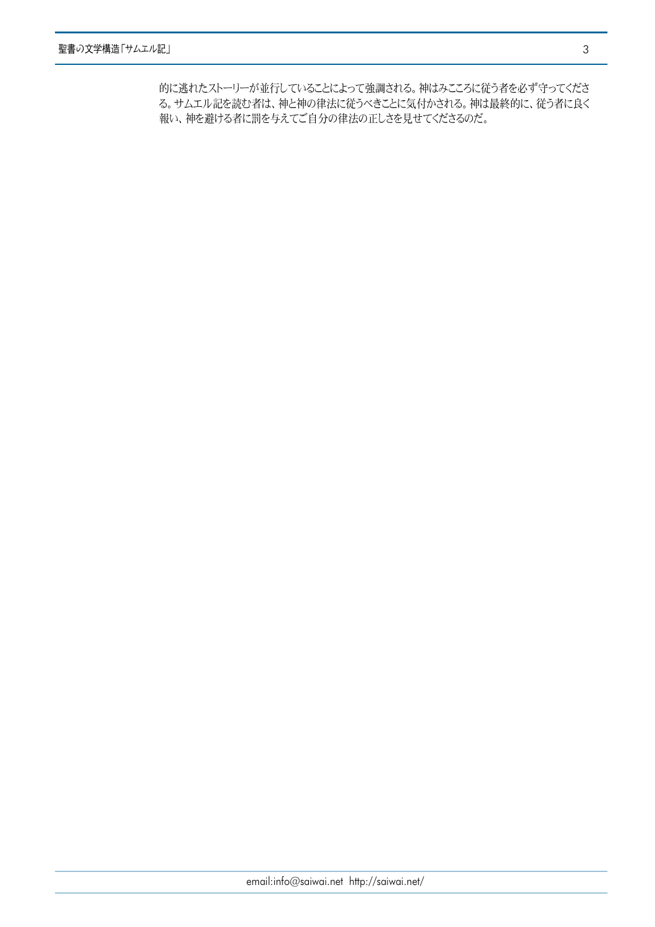的に逃れたストーリーが並行していることによって強調される。神はみこころに従う者を必ず守ってくださ る。サムエル記を読む者は、神と神の律法に従うべきことに気付かされる。神は最終的に、従う者に良く 報い、神を避ける者に罰を与えてご自分の律法の正しさを見せてくださるのだ。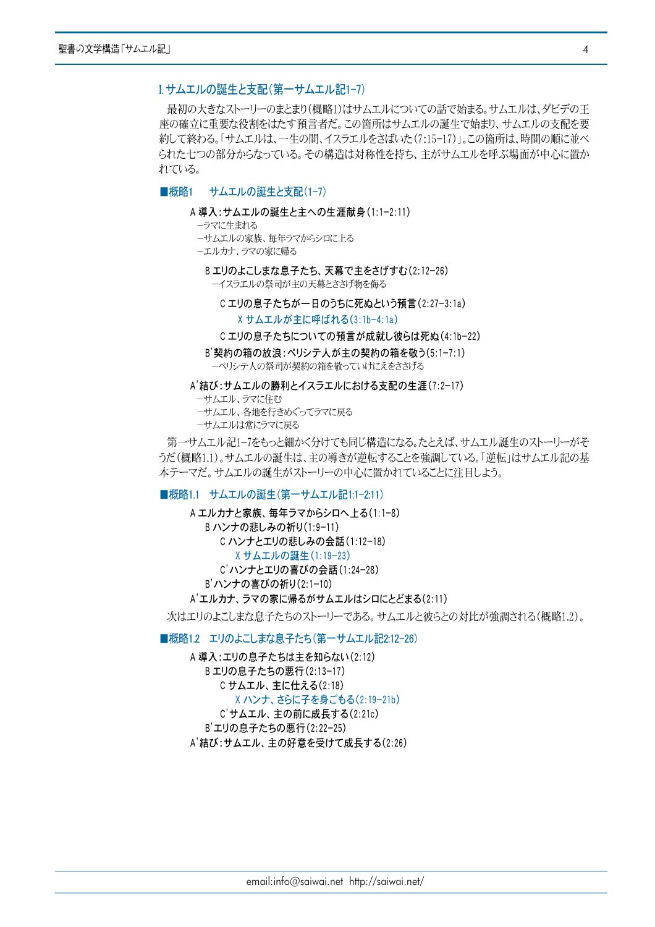# Iサムエルの誕生と支配(第一サムエル記1-7)

最初の大きなストーリーのまとまり(概略1)はサムエルについての話で始まる。サムエルは、ダビデの王 座の確立に重要な役割をはたす預言者だ。この箇所はサムエルの誕生で始まり、サムエルの支配を要 約して終わる。「サムエルは、一生の間、イスラエルをさばいた(7:15-17)」。この箇所は、時間の順に並べ られた七つの部分からなっている。その構造は対称性を持ち、主がサムエルを呼ぶ場面が中心に置か れている。

#### ■概略1 サムエルの誕生と支配(1-7)

#### A 導入:サムエルの誕生と主への生涯献身(1:1-2:11)

ーラマに生まれる

- ーサムエルの家族、毎年ラマからシロに上る
- ーエルカナ、ラマの家に帰る

Bエリのよこしまな息子たち、天幕で主をさげすむ(2:12-26) ーイスラエルの祭司が主の天幕とささげ物を侮る

Cエリの息子たちが一日のうちに死ぬという預言(2:27-3:1a)

Xサムエルが主に呼ばれる(3:1b-4:1a)

#### Cエリの息子たちについての預言が成就し彼らは死ぬ(4:1b-22)

B'契約の箱の放浪:ペリシテ人が主の契約の箱を敬う(5:1-7:1) ーペリシテ人の祭司が契約の箱を敬っていけにえをささげる

A'結び:サムエルの勝利とイスラエルにおける支配の生涯(7:2−17)

ーサムエル、ラマに住む

ーサムエル、各地を行きめぐってラマに戻る

ーサムエルは常にラマに戻る

第一サムエル記1-7をもっと細かく分けても同じ構造になる。たとえば、サムエル誕生のストーリーがそ うだ(概略1.1)。サムエルの誕生は、主の導きが逆転することを強調している。「逆転」はサムエル記の基 本テーマだ。サムエルの誕生がストーリーの中心に置かれていることに注目しよう。

# ■概略1.1 サムエルの誕生(第一サムエル記1:1-2:11)

A エルカナと家族、毎年ラマからシロへ上る(1:1-8) Bハンナの悲しみの祈り(1:9-11) C ハンナとエリの悲しみの会話(1:12-18) Xサムエルの誕生 (1:19-23) C'ハンナとエリの喜びの会話(1:24-28) B'ハンナの喜びの祈り(2:1-10) A'エルカナ、ラマの家に帰るがサムエルはシロにとどまる(2:11)

次はエリのよこしまな息子たちのストーリーである。サムエルと彼らとの対比が強調される(概略1.2)。

■概略1.2 エリのよこしまな息子たち(第一サムエル記2:12-26)

A 導入:エリの息子たちは主を知らない(2:12) Bエリの息子たちの悪行(2:13-17) Cサムエル、主に仕える(2:18) X ハンナ、さらに子を身ごもる(2:19-21b) C'サムエル、主の前に成長する(2:21c) B'エリの息子たちの悪行(2:22-25)

A'結び:サムエル、主の好意を受けて成長する(2:26)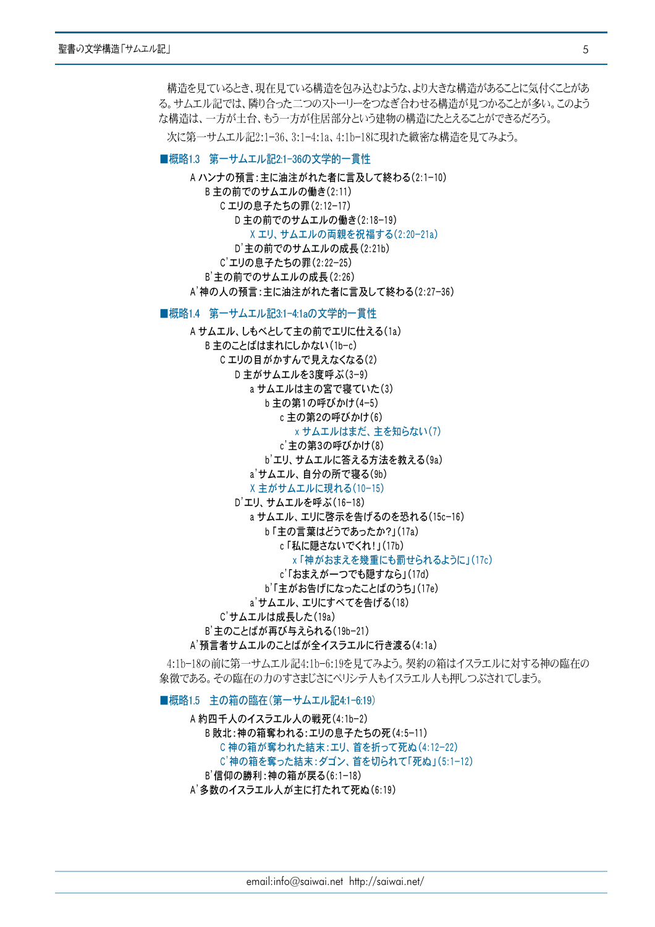構造を見ているとき、現在見ている構造を包み込むような、より大きな構造があることに気付くことがあ る。サムエル記では、隣り合った二つのストーリーをつなぎ合わせる構造が見つかることが多い。このよう な構造は、一方が土台、もう一方が住居部分という建物の構造にたとえることができるだろう。

次に第一サムエル記2:1-36、3:1-4:1a、4:1b-18に現れた緻密な構造を見てみよう。

# ■概略1.3 第一サムエル記2:1-36の文学的一貫性

A ハンナの預言:主に油注がれた者に言及して終わる(2:1-10) B 主の前でのサムエルの働き(2:11) Cエリの息子たちの罪(2:12-17) D主の前でのサムエルの働き(2:18-19) X エリ、サムエルの両親を祝福する(2:20-21a) D'主の前でのサムエルの成長(2:21b) C'エリの息子たちの罪(2:22-25) B' 主の前でのサムエルの成長 (2:26) A'神の人の預言:主に油注がれた者に言及して終わる(2:27-36)

# ■概略1.4 第一サムエル記3:1-4:1aの文学的一貫性

A サムエル、しもべとして主の前でエリに仕える(1a) B 主のことばはまれにしかない(1b-c) C エリの目がかすんで見えなくなる(2) D主がサムエルを3度呼ぶ(3-9) a サムエルは主の宮で寝ていた(3) b 主の第1の呼びかけ(4-5) c 主の第2の呼びかけ(6) x サムエルはまだ、主を知らない(7) c'主の第3の呼びかけ(8) b'エリ、サムエルに答える方法を教える(9a) a'サムエル、自分の所で寝る(9b) X主がサムエルに現れる(10-15) D'エリ、サムエルを呼ぶ(16-18) a サムエル、エリに啓示を告げるのを恐れる(15c-16) b「主の言葉はどうであったか?」(17a) c「私に隠さないでくれ!」(17b) x「神がおまえを幾重にも罰せられるように」(17c) c'「おまえが一つでも隠すなら」(17d) b'「主がお告げになったことばのうち」(17e) a'サムエル、エリにすべてを告げる(18) C'サムエルは成長した(19a) B'主のことばが再び与えられる(19b-21) A'預言者サムエルのことばが全イスラエルに行き渡る(4:1a)

4:1b-18の前に第一サムエル記4:1b-6:19を見てみよう。契約の箱はイスラエルに対する神の臨在の 象徴である。その臨在の力のすさまじさにペリシテ人もイスラエル人も押しつぶされてしまう。

■概略1.5 主の箱の臨在(第一サムエル記41-6:19) A 約四千人のイスラエル人の戦死(4:1b-2) B敗北:神の箱奪われる:エリの息子たちの死(4:5-11) C神の箱が奪われた結末:エリ、首を折って死ぬ(4:12-22) C'神の箱を奪った結末:ダゴン、首を切られて「死ぬ」(5:1-12) B'信仰の勝利:神の箱が戻る(6:1-18) A'多数のイスラエル人が主に打たれて死ぬ(6:19)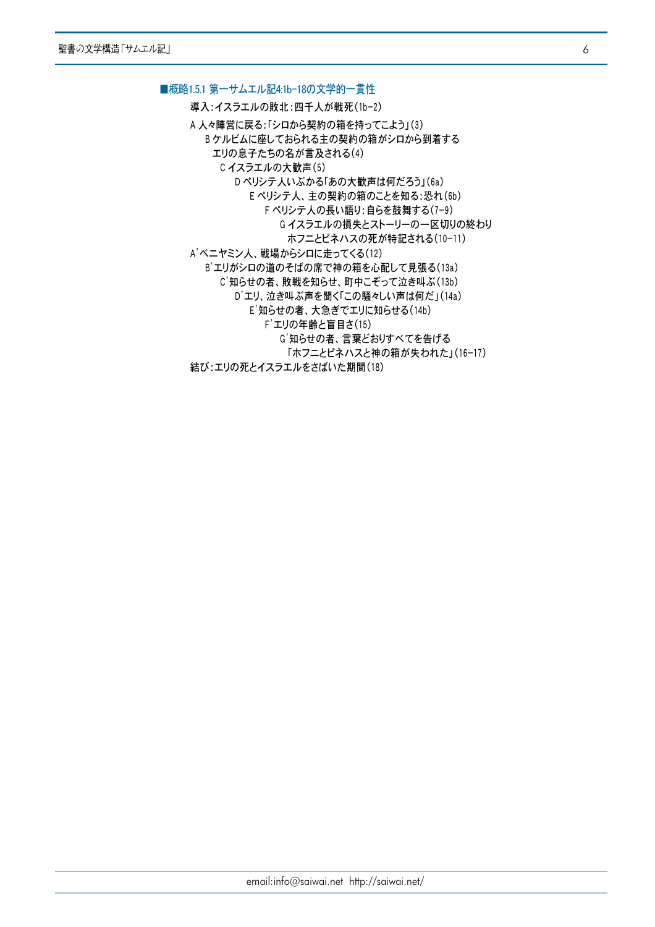#### ■概略1.5.1 第一サムエル記4:1b-18の文学的一貫性

導入:イスラエルの敗北:四千人が戦死(1b-2)

A 人々陣営に戻る:「シロから契約の箱を持ってこよう」(3) Bケルビムに座しておられる主の契約の箱がシロから到着する エリの息子たちの名が言及される(4) Cイスラエルの大歓声(5) D ペリシテ人いぶかる「あの大歓声は何だろう」(6a) E ペリシテ人、主の契約の箱のことを知る:恐れ(6b) F ペリシテ人の長い語り:自らを鼓舞する(7-9) Gイスラエルの損失とストーリーの一区切りの終わり ホフニとピネハスの死が特記される(10-11) A'ベニヤミン人、戦場からシロに走ってくる(12) B'エリがシロの道のそばの席で神の箱を心配して見張る(13a) C'知らせの者、敗戦を知らせ、町中こぞって泣き叫ぶ(13b) D'エリ、泣き叫ぶ声を聞く「この騒々しい声は何だ」(14a) E'知らせの者、大急ぎでエリに知らせる(14b) F'エリの年齢と盲目さ(15) G'知らせの者、言葉どおりすべてを告げる 「ホフニとピネハスと神の箱が失われた」(16-17) 結び:エリの死とイスラエルをさばいた期間(18)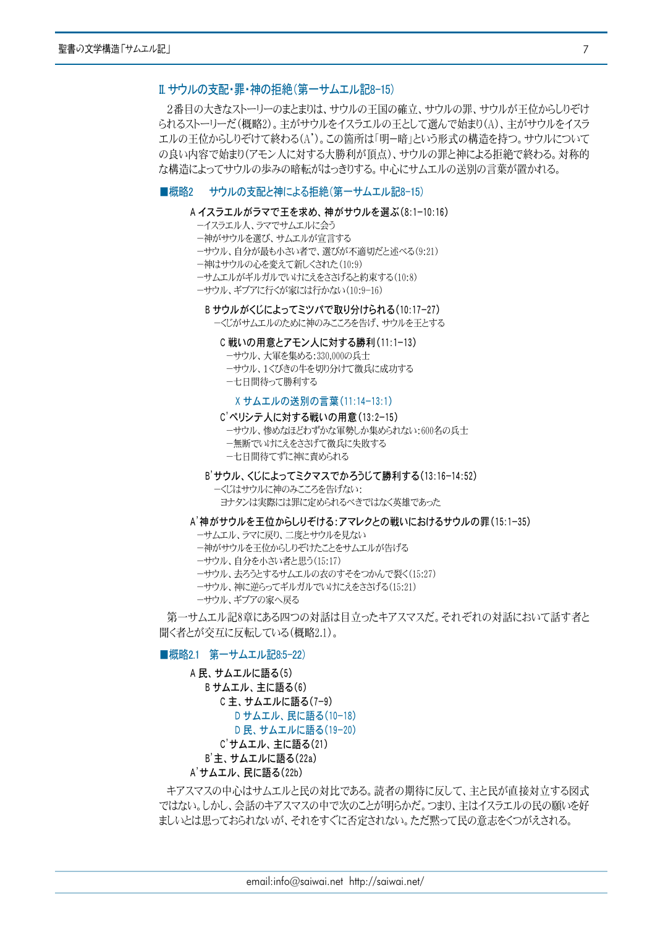# Ⅱ サウルの支配・罪・神の拒絶(第一サムエル記8-15)

2番目の大きなストーリーのまとまりは、サウルの王国の確立、サウルの罪、サウルが王位からしりぞけ られるストーリーだ(概略2)。主がサウルをイスラエルの王として選んで始まり(A)、主がサウルをイスラ エルの王位からしりぞけて終わる(A')。この箇所は「明ー暗」という形式の構造を持つ。サウルについて の良い内容で始まり(アモン人に対する大勝利が頂点)、サウルの罪と神による拒絶で終わる。対称的 な構造によってサウルの歩みの暗転がはっきりする。中心にサムエルの送別の言葉が置かれる。

# ■概略2 サウルの支配と神による拒絶(第一サムエル記8-15)

#### A イスラエルがラマで王を求め、神がサウルを選ぶ(8:1-10:16)

- ーイスラエル人、ラマでサムエルに会う
- ー神がサウルを選び、サムエルが宣言する

ーサウル、自分が最も小さい者で、選びが不適切だと述べる(9:21)

- 一神はサウルの心を変えて新しくされた(10:9)
- ーサムエルがギルガルでいけにえをささげると約束する(10:8)
- ーサウル、ギブアに行くが家には行かない(10:9-16)

# Bサウルがくじによってミツパで取り分けられる(10:17-27)

ーくじがサムエルのために神のみこころを告げ、サウルを王とする

# C戦いの用意とアモン人に対する勝利(11:1-13)

- ーサウル、大軍を集める:330,000の兵士
- ーサウル、1くびきの牛を切り分けて徴兵に成功する
- 一七日間待って勝利する

#### Xサムエルの送別の言葉 (11:14-13:1)

#### C'ペリシテ人に対する戦いの用意(13:2-15)

ーサウル、惨めなほどわずかな軍勢しか集められない:600名の兵士

ー無断でいけにえをささげて徴兵に失敗する

ー七日間待てずに神に責められる

### B'サウル、くじによってミクマスでかろうじて勝利する(13:16-14:52)

ーくじはサウルに神のみこころを告げない: ヨナタンは実際には罪に定められるべきではなく英雄であった

#### A'神がサウルを王位からしりぞける:アマレクとの戦いにおけるサウルの罪(15:1-35)

- ーサムエル、ラマに戻り、二度とサウルを見ない
- ー神がサウルを王位からしりぞけたことをサムエルが告げる
- ーサウル、自分を小さい者と思う(15:17)
- ーサウル、夫ろうとするサムエルの衣のすそをつかんで裂く(15:27)
- ーサウル、神に逆らってギルガルでいけにえをささげる(15:21)
- ーサウル、ギブアの家へ戻る

第一サムエル記8章にある四つの対話は目立ったキアスマスだ。それぞれの対話において話す者と 聞く者とが交互に反転している(概略2.1)。

# ■概略2.1 第一サムエル記8:5-22)

A 民、サムエルに語る(5) B サムエル、主に語る(6) C主、サムエルに語る(7-9) D サムエル、民に語る(10-18) D 民、サムエルに語る(19-20) C'サムエル、主に語る(21) B'主、サムエルに語る(22a) A'サムエル、民に語る(22b)

キアスマスの中心はサムエルと民の対比である。読者の期待に反して、主と民が直接対立する図式 ではない。しかし、会話のキアスマスの中で次のことが明らかだ。つまり、主はイスラエルの民の願いを好 ましいとは思っておられないが、それをすぐに否定されない。ただ黙って民の意志をくつがえされる。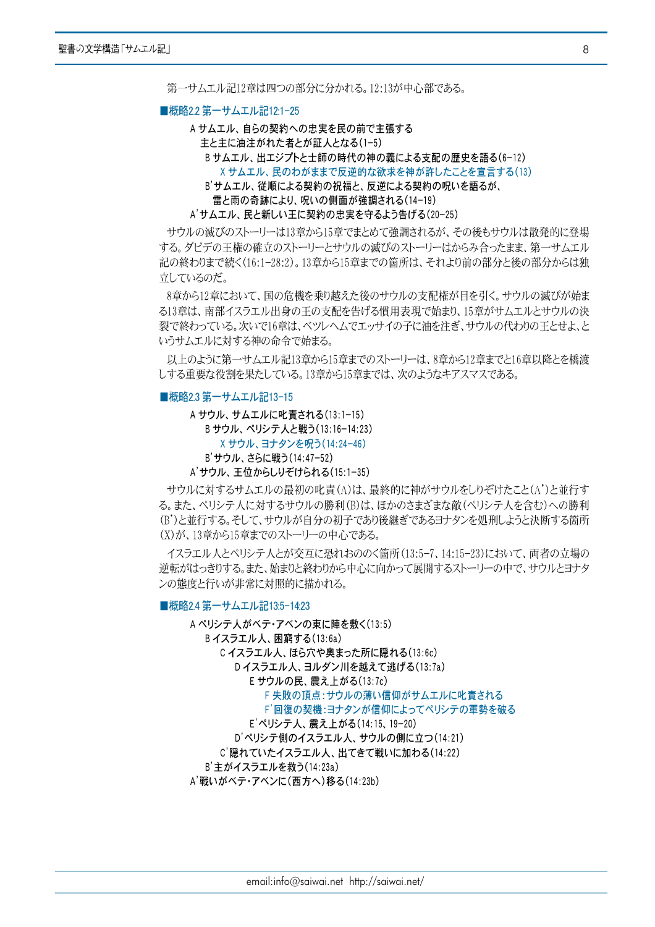第一サムエル記12章は四つの部分に分かれる。12:13が中心部である。

#### ■概略2.2 第一サムエル記12:1-25

A サムエル、自らの契約への忠実を民の前で主張する 主と主に油注がれた者とが証人となる(1-5) Bサムエル、出エジプトと士師の時代の神の義による支配の歴史を語る(6-12) X サムエル、民のわがままで反逆的な欲求を神が許したことを宣言する(13) B'サムエル、従順による契約の祝福と、反逆による契約の呪いを語るが、 雷と雨の奇跡により、呪いの側面が強調される(14-19) A'サムエル、民と新しい王に契約の忠実を守るよう告げる(20-25)

サウルの滅びのストーリーは13章から15章でまとめて強調されるが、その後もサウルは散発的に登場 する。ダビデの王権の確立のストーリーとサウルの滅びのストーリーはからみ合ったまま、第一サムエル 記の終わりまで続く(16:1-28:2)。13章から15章までの箇所は、それより前の部分と後の部分からは独 立しているのだ。

8章から12章において、国の危機を乗り越えた後のサウルの支配権が目を引く。サウルの滅びが始ま る13章は、南部イスラエル出身の王の支配を告げる慣用表現で始まり、15章がサムエルとサウルの決 裂で終わっている。次いで16章は、ベツレヘムでエッサイの子に油を注ぎ、サウルの代わりの干とせよ、と いうサムエルに対する神の命令で始まる。

以上のように第一サムエル記13章から15章までのストーリーは、8章から12章までと16章以降とを橋渡 しする重要な役割を果たしている。13章から15章までは、次のようなキアスマスである。

#### ■概略2.3 第一サムエル記13-15

A サウル、サムエルに叱責される(13:1-15) Bサウル、ペリシテ人と戦う(13:16-14:23) X サウル、ヨナタンを呪う(14:24-46) B'サウル、さらに戦う(14:47-52)

A'サウル、王位からしりぞけられる(15:1-35)

サウルに対するサムエルの最初の叱責(A)は、最終的に神がサウルをしりぞけたこと(A')と並行す る。また、ペリシテ人に対するサウルの勝利(B)は、ほかのさまざまな敵(ペリシテ人を含む)への勝利 (B')と並行する。そして、サウルが自分の初子であり後継ぎであるヨナタンを処刑しようと決断する箇所 (X)が、13章から15章までのストーリーの中心である。

イスラエル人とペリシテ人とが交互に恐れおののく箇所(13:5-7、14:15-23)において、両者の立場の 逆転がはっきりする。また、始まりと終わりから中心に向かって展開するストーリーの中で、サウルとヨナタ ンの態度と行いが非常に対照的に描かれる。

#### ■概略2.4 第一サムエル記13:5-14:23

A ペリシテ人がベテ·アベンの東に陣を敷く(13:5) Bイスラエル人、困窮する(13:6a) Cイスラエル人、ほら穴や奥まった所に隠れる(13:6c) Dイスラエル人、ヨルダン川を越えて逃げる(13:7a) E サウルの民、震え上がる(13:7c) F 失敗の頂点:サウルの薄い信仰がサムエルに叱責される F'回復の契機:ヨナタンが信仰によってペリシテの軍勢を破る E'ペリシテ人、震え上がる(14:15、19-20) D'ペリシテ側のイスラエル人、サウルの側に立つ(14:21) C'隠れていたイスラエル人、出てきて戦いに加わる(14:22) B'主がイスラエルを救う(14:23a) A'戦いがベテ・アベンに(西方へ)移る(14:23b)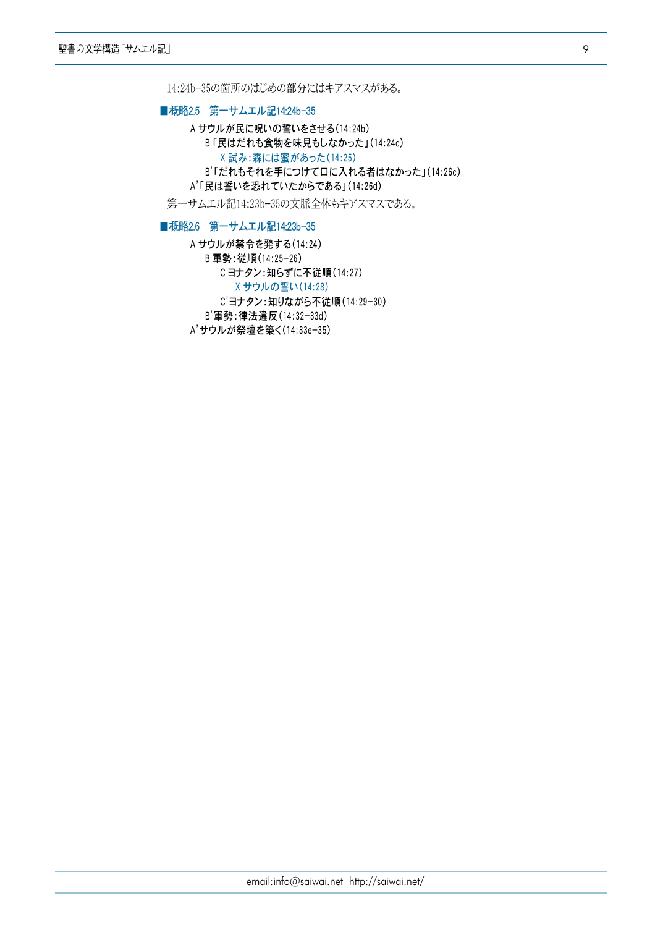14:24b-35の箇所のはじめの部分にはキアスマスがある。

■概略2.5 第一サムエル記14:24b-35

A サウルが民に呪いの誓いをさせる(14:24b) B「民はだれも食物を味見もしなかった」(14:24c) X 試み:森には蜜があった(14:25) B'「だれもそれを手につけて口に入れる者はなかった」(14:26c) A'「民は誓いを恐れていたからである」(14:26d)

第一サムエル記14:23b-35の文脈全体もキアスマスである。

■概略2.6 第一サムエル記14:23b-35

A サウルが禁令を発する(14:24) B 軍勢:従順(14:25-26) Cヨナタン:知らずに不従順(14:27) X サウルの誓い (14:28) C'ヨナタン:知りながら不従順(14:29-30) B'軍勢:律法違反(14:32-33d) A'サウルが祭壇を築く(14:33e-35)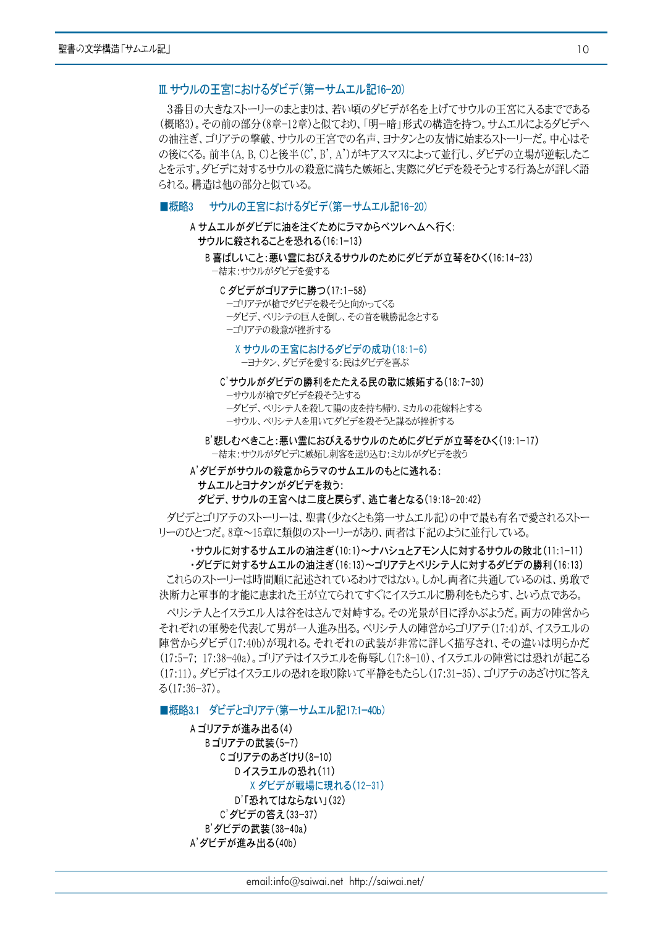# Ⅲ サウルの王宮におけるダビデ(第一サムエル記16-20)

3番目の大きなストーリーのまとまりは、若い頃のダビデが名を上げてサウルの王宮に入るまでである (概略3)。その前の部分(8章-12章)と似ており、「明ー暗」形式の構造を持つ。サムエルによるダビデへ の油注ぎ、ゴリアテの撃破、サウルの王宮での名声、ヨナタンとの友情に始まるストーリーだ。中心はそ の後にくる。前半(A, B, C)と後半(C', B', A')がキアスマスによって並行し、ダビデの立場が逆転したこ とを示す。ダビデに対するサウルの殺意に満ちた嫉妬と、実際にダビデを殺そうとする行為とが詳しく語 られる。構造は他の部分と似ている。

#### ■概略3 サウルの王宮におけるダビデ(第一サムエル記16-20)

- A サムエルがダビデに油を注ぐためにラマからベツレヘムへ行く: サウルに殺されることを恐れる(16:1-13)
	- B 喜ばしいこと:悪い霊におびえるサウルのためにダビデが立琴をひく(16:14-23) 一結末:サウルがダビデを愛する

#### C ダビデがゴリアテに勝つ(17:1−58)

- ーゴリアテが槍でダビデを殺そうと向かってくる
- ーダビデ、ペリシテの巨人を倒し、その首を戦勝記念とする
- ーゴリアテの殺意が挫折する

# Xサウルの王宮におけるダビデの成功(18:1-6) ーヨナタン、ダビデを愛する:民はダビデを喜ぶ

# C'サウルがダビデの勝利をたたえる民の歌に嫉妬する(18:7-30)

ーサウルが槍でダビデを殺そうとする

- ーダビデ、ペリシテ人を殺して陽の皮を持ち帰り、ミカルの花嫁料とする
- ーサウル、ペリシテ人を用いてダビデを殺そうと謀るが挫折する

B'悲しむべきこと:悪い霊におびえるサウルのためにダビデが立琴をひく(19:1-17) ー結末:サウルがダビデに嫉妬し刺客を送り込む:ミカルがダビデを救う

# A'ダビデがサウルの殺意からラマのサムエルのもとに逃れる:

#### サムエルとヨナタンがダビデを救う:

ダビデ、サウルの王宮へは二度と戻らず、逃亡者となる(19:18-20:42)

ダビデとゴリアテのストーリーは、聖書(少なくとも第一サムエル記)の中で最も有名で愛されるストー リーのひとつだ。8章~15章に類似のストーリーがあり、両者は下記のように並行している。

# ·サウルに対するサムエルの油注ぎ(10:1)~ナハシュとアモン人に対するサウルの敗北(11:1-11) ・ダビデに対するサムエルの油注ぎ(16:13)~ゴリアテとペリシテ人に対するダビデの勝利(16:13)

これらのストーリーは時間順に記述されているわけではない。しかし両者に共通しているのは、勇敢で 決断力と軍事的才能に恵まれた王が立てられてすぐにイスラエルに勝利をもたらす、という点である。

ペリシテ人とイスラエル人は谷をはさんで対峙する。その光景が目に浮かぶようだ。両方の陣営から それぞれの軍勢を代表して男が一人進み出る。ペリシテ人の陣営からゴリアテ(17:4)が、イスラエルの 陣営からダビデ(17:40b)が現れる。それぞれの武装が非常に詳しく描写され、その違いは明らかだ (17:5-7: 17:38-40a)。ゴリアテはイスラエルを侮辱し(17:8-10)、イスラエルの陣営には恐れが起こる (17:11)。ダビデはイスラエルの恐れを取り除いて平静をもたらし(17:31-35)、ゴリアテのあざけりに答え  $\lesssim$  (17:36-37).

# ■概略3.1 ダビデとゴリアテ(第一サムエル記17:1-40b)

A ゴリアテが進み出る(4) Bゴリアテの武装(5-7) C ゴリアテのあざけり(8-10) Dイスラエルの恐れ(11) X ダビデが戦場に現れる(12-31) D'「恐れてはならない」(32) C'ダビデの答え(33-37) B'ダビデの武装(38-40a) A'ダビデが進み出る(40b)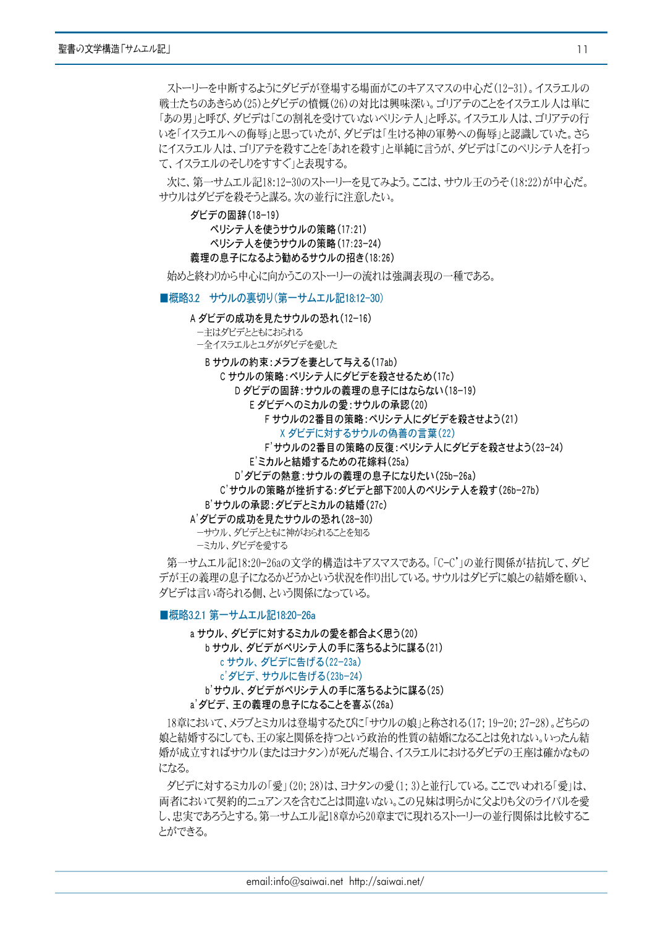ストーリーを中断するようにダビデが登場する場面がこのキアスマスの中心だ(12-31)。イスラエルの 戦士たちのあきらめ(25)とダビデの憤慨(26)の対比は興味深い。ゴリアテのことをイスラエル人は単に 「あの男」と呼び、ダビデは「この割礼を受けていないペリシテ人」と呼ぶ。イスラエル人は、ゴリアテの行 いを「イスラエルへの侮辱」と思っていたが、ダビデは「生ける神の軍勢への侮辱」と認識していた。さら にイスラエル人は、ゴリアテを殺すことを「あれを殺す」と単純に言うが、ダビデは「このペリシテ人を打っ て、イスラエルのそしりをすすぐ」と表現する。

次に、第一サムエル記18:12-30のストーリーを見てみよう。ここは、サウル王のうそ(18:22)が中心だ。 サウルはダビデを殺そうと謀る。次の並行に注意したい。

ダビデの固辞 (18-19)

ペリシテ人を使うサウルの策略 (17:21) ペリシテ人を使うサウルの策略(17:23-24) 義理の息子になるよう勧めるサウルの招き(18:26)

始めと終わりから中心に向かうこのストーリーの流れは強調表現の一種である。

■概略3.2 サウルの裏切り(第一サムエル記18:12-30)

#### A ダビデの成功を見たサウルの恐れ (12-16)

- ーキはダビデとともにおられる
- 一全イスラエルとユダがダビデを愛した

Bサウルの約束:メラブを妻として与える(17ab)

C サウルの策略:ペリシテ人にダビデを殺させるため(17c)

D ダビデの固辞:サウルの義理の息子にはならない(18-19)

E ダビデへのミカルの愛:サウルの承認(20)

F サウルの2番目の策略: ペリシテ人にダビデを殺させよう(21)

- X ダビデに対するサウルの偽善の言葉(22)
- F'サウルの2番目の策略の反復:ペリシテ人にダビデを殺させよう(23-24)

E'ミカルと結婚するための花嫁料(25a)

D'ダビデの熱意:サウルの義理の息子になりたい(25b-26a)

C'サウルの策略が挫折する:ダビデと部下200人のペリシテ人を殺す(26b-27b)

B'サウルの承認:ダビデとミカルの結婚(27c)

A'ダビデの成功を見たサウルの恐れ(28-30)

ーサウル、ダビデとともに神がおられることを知る ーミカル、ダビデを愛する

第一サムエル記18:20-26aの文学的構造はキアスマスである。「C-C'」の並行関係が拮抗して、ダビ デが干の義理の息子になるかどうかという状況を作り出している。サウルはダビデに娘との結婚を願い、 ダビデは言い寄られる側、という関係になっている。

# ■概略3.2.1 第一サムエル記18:20-26a

a サウル、ダビデに対するミカルの愛を都合よく思う(20) b サウル、ダビデがペリシテ人の手に落ちるように謀る(21) cサウル、ダビデに告げる(22-23a) c'ダビデ、サウルに告げる(23b-24) b'サウル、ダビデがペリシテ人の手に落ちるように謀る(25) a' ダビデ、王の義理の息子になることを喜ぶ(26a)

18章において、メラブとミカルは登場するたびに「サウルの娘」と称される(17; 19-20; 27-28)。どちらの 娘と結婚するにしても、王の家と関係を持つという政治的性質の結婚になることは免れない。いったん結 婚が成立すればサウル(またはヨナタン)が死んだ場合、イスラエルにおけるダビデの王座は確かなもの になる。

ダビデに対するミカルの「愛」(20; 28)は、ヨナタンの愛(1; 3)と並行している。ここでいわれる「愛」は、 両者において契約的ニュアンスを含むことは間違いない。この兄妹は明らかに父よりも父のライバルを愛 し、忠実であろうとする。第一サムエル記18章から20章までに現れるストーリーの並行関係は比較するこ とができる。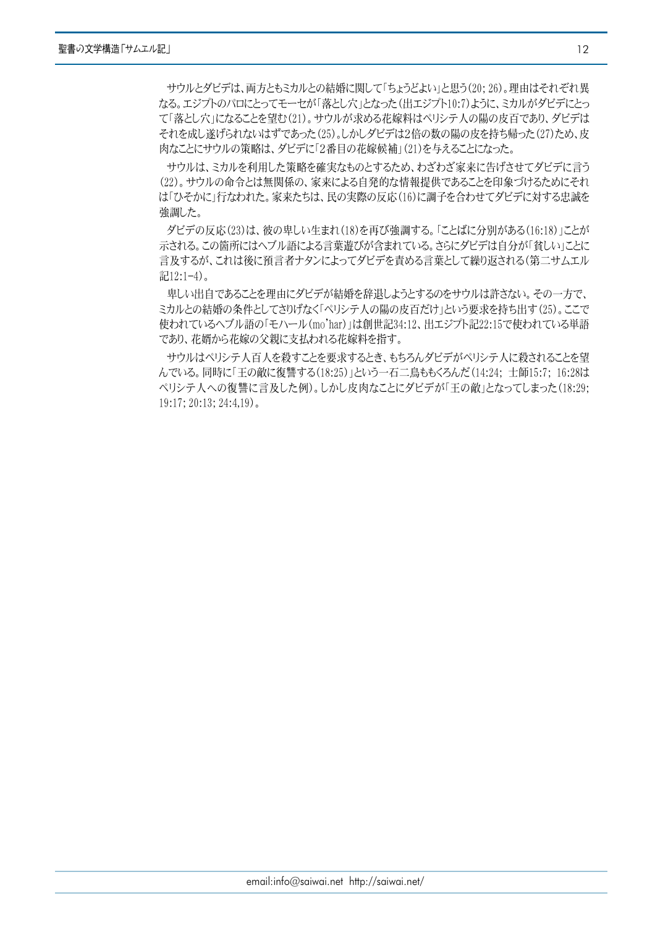サウルとダビデは、両方ともミカルとの結婚に関して「ちょうどよい」と思う(20;26)。理由はそれぞれ異 なる。エジプトのパロにとってモーセが「落とし穴」となった(出エジプト10:7)ように、ミカルがダビデにとっ て「落とし穴」になることを望む(21)。サウルが求める花嫁料はペリシテ人の陽の皮百であり、ダビデは それを成し遂げられないはずであった(25)。しかしダビデは2倍の数の陽の皮を持ち帰った(27)ため、皮 |肉なことにサウルの策略は、ダビデに「2番目の花嫁候補」(21)を与えることになった。

サウルは、ミカルを利用した策略を確実なものとするため、わざわざ家来に告げさせてダビデに言う (22)。サウルの命令とは無関係の、家来による自発的な情報提供であることを印象づけるためにそれ は「ひそかに」行なわれた。家来たちは、民の実際の反応(16)に調子を合わせてダビデに対する忠誠を 強調した。

ダビデの反応(23)は、彼の卑しい生まれ(18)を再び強調する。「ことばに分別がある(16:18)」ことが 示される。この箇所にはヘブル語による言葉遊びが含まれている。さらにダビデは自分が「貧しい」ことに 言及するが、これは後に預言者ナタンによってダビデを責める言葉として繰り返される(第二サムエル 記12:1-4)。

卑しい出自であることを理由にダビデが結婚を辞退しようとするのをサウルは許さない。その一方で、 ミカルとの結婚の条件としてさりげなく「ペリシテ人の陽の皮百だけ」という要求を持ち出す(25)。ここで 使われているヘブル語の「モハール(mo'har)」は創世記34:12、出エジプト記22:15で使われている単語 であり、花婿から花嫁の父親に支払われる花嫁料を指す。

サウルはペリシテ人百人を殺すことを要求するとき、もちろんダビデがペリシテ人に殺されることを望 んでいる。同時に「王の敵に復讐する(18:25)」という一石二鳥ももくろんだ(14:24; 士師15:7; 16:28は ペリシテ人への復讐に言及した例)。しかし皮肉なことにダビデが「王の敵」となってしまった(18:29;  $19:17$ ;  $20:13$ ;  $24:4.19$ ).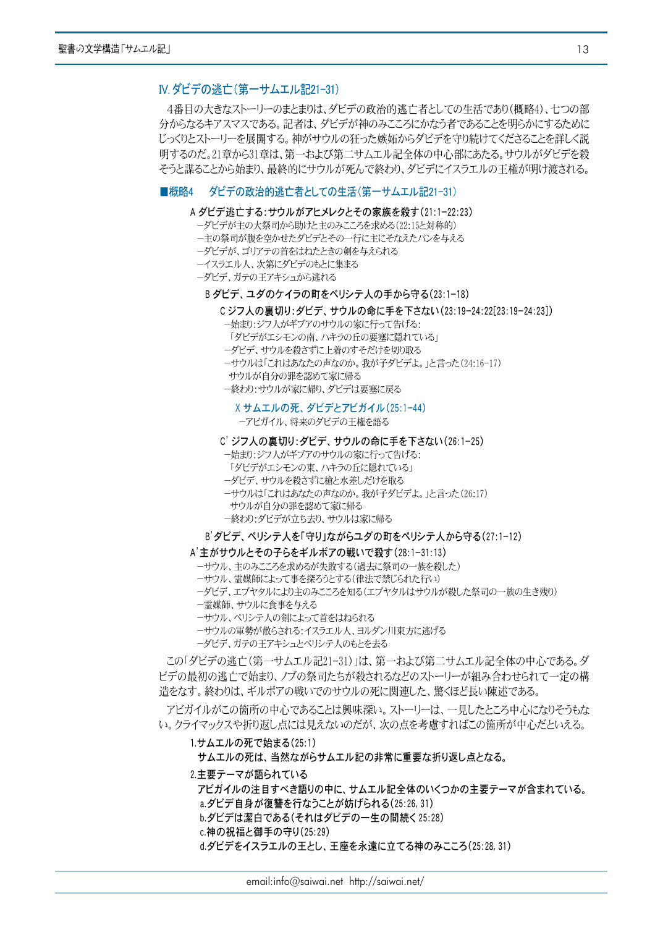# IV. ダビデの逃亡 (第一サムエル記21-31)

4番目の大きなストーリーのまとまりは、ダビデの政治的逃亡者としての生活であり(概略4)、七つの部 分からなるキアスマスである。記者は、ダビデが神のみこころにかなう者であることを明らかにするために じっくりとストーリーを展開する。神がサウルの狂った嫉妬からダビデを守り続けてくださることを詳しく説 明するのだ。21章から31章は、第一および第二サムエル記全体の中心部にあたる。サウルがダビデを殺 そうと謀ることから始まり、最終的にサウルが死んで終わり、ダビデにイスラエルの王権が明け渡される。

# ■概略4 ダビデの政治的逃亡者としての生活(第一サムエル記21-31)

### A ダビデ逃亡する:サウルがアヒメレクとその家族を殺す(21:1-22:23)

- ーダビデが主の大祭司から助けと主のみこころを求める(22:15と対称的)
- ー主の祭司が腹を空かせたダビデとその一行に主にそなえたパンを与える
- ーダビデが、ゴリアテの首をはねたときの剣を与えられる
- ーイスラエル人、次第にダビデのもとに集まる
- ーダビデ、ガテの干アキシュから逃れる

#### B ダビデ、ユダのケイラの町をペリシテ人の手から守る(23:1-18)

Cジフ人の裏切り:ダビデ、サウルの命に手を下さない(23:19-24:22[23:19-24:23])

- ー始まり:ジフ人がギブアのサウルの家に行って告げる:
- 「ダビデがエシモンの南、ハキラの丘の要塞に隠れている」
- ーダビデ、サウルを殺さずに上着のすそだけを切り取る
- ーサウルは「これはあなたの声なのか。我が子ダビデよ。」と言った(24:16-17)
- サウルが自分の罪を認めて家に帰る
- ー終わり:サウルが家に帰り、ダビデは要塞に戻る

X サムエルの死、ダビデとアビガイル(25:1-44)

ーアビガイル、将来のダビデの王権を語る

# C' ジフ人の裏切り:ダビデ、サウルの命に手を下さない(26:1-25)

- ー始まり:ジフ人がギブアのサウルの家に行って告げる:
- 「ダビデがエシモンの東、ハキラの丘に隠れている」
- ーダビデ、サウルを殺さずに槍と水差しだけを取る
- ーサウルは「これはあなたの声なのか。我が子ダビデよ。」と言った(26:17)
- サウルが自分の罪を認めて家に帰る
- ー終わり:ダビデが立ち去り、サウルは家に帰る

#### B' ダビデ、ペリシテ人を「守り」ながらユダの町をペリシテ人から守る(27:1-12)

#### A'主がサウルとその子らをギルボアの戦いで殺す(28:1-31:13)

- ーサウル、主のみこころを求めるが失敗する(過去に祭司の一族を殺した)
- ーサウル、霊媒師によって事を探ろうとする(律法で禁じられた行い)
- ーダビデ、エブヤタルにより主のみこころを知る(エブヤタルはサウルが殺した祭司の一族の生き残り)
- 一霊媒師、サウルに食事を与える
- ーサウル、ペリシテ人の剣によって首をはねられる
- ーサウルの軍勢が散らされる:イスラエル人、ヨルダン川東方に逃げる
- ーダビデ、ガテの王アキシュとペリシテ人のもとを去る

この「ダビデの逃亡(第一サムエル記21-31)」は、第一および第二サムエル記全体の中心である。ダ ビデの最初の逃亡で始まり、ノブの祭司たちが殺されるなどのストーリーが組み合わせられて一定の構 造をなす。終わりは、ギルボアの戦いでのサウルの死に関連した、驚くほど長い陳述である。

アビガイルがこの箇所の中心であることは興味深い。ストーリーは、一見したところ中心になりそうもな い。クライマックスや折り返し点には見えないのだが、次の点を考慮すればこの箇所が中心だといえる。

### 1.サムエルの死で始まる(25:1)

サムエルの死は、当然ながらサムエル記の非常に重要な折り返し点となる。

#### 2.主要テーマが語られている

アビガイルの注目すべき語りの中に、サムエル記全体のいくつかの主要テーマが含まれている。 a.ダビデ自身が復讐を行なうことが妨げられる(25:26,31) b.ダビデは潔白である(それはダビデの一生の間続く25:28)

c.神の祝福と御手の守り(25:29)

d.ダビデをイスラエルの王とし、王座を永遠に立てる神のみこころ(25:28,31)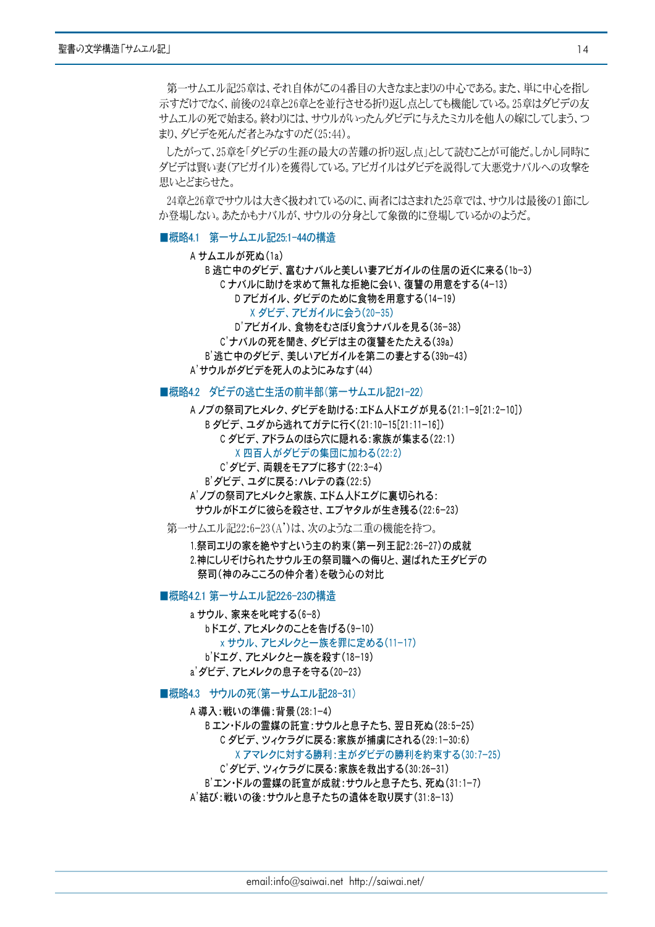第一サムエル記25章は、それ自体がこの4番目の大きなまとまりの中心である。また、単に中心を指し 示すだけでなく、前後の24章と26章とを並行させる折り返し点としても機能している。25章はダビデの友 サムエルの死で始まる。終わりには、サウルがいったんダビデに与えたミカルを他人の嫁にしてしまう、つ まり、ダビデを死んだ者とみなすのだ(25:44)。

したがって、25章を「ダビデの生涯の最大の苦難の折り返し点」として読むことが可能だ。しかし同時に ダビデは腎い妻(アビガイル)を獲得している。アビガイルはダビデを説得して大悪党ナバルへの攻撃を 思いとどまらせた。

24章と26章でサウルは大きく扱われているのに、両者にはさまれた25章では、サウルは最後の1節にし か登場しない。あたかもナバルが、サウルの分身として象徴的に登場しているかのようだ。

# ■概略4.1 第一サムエル記25:1-44の構造

A サムエルが死ぬ(1a)

B 逃亡中のダビデ、富むナバルと美しい妻アビガイルの住居の近くに来る(1b-3) Cナバルに助けを求めて無礼な拒絶に会い、復讐の用意をする(4-13) Dアビガイル、ダビデのために食物を用意する(14-19) X ダビデ、アビガイルに会う(20-35) D'アビガイル、食物をむさぼり食うナバルを見る(36-38)

C'ナバルの死を聞き、ダビデは主の復讐をたたえる(39a) B'逃亡中のダビデ、美しいアビガイルを第二の妻とする(39b-43) A'サウルがダビデを死人のようにみなす(44)

■概略4.2 ダビデの逃亡生活の前半部(第一サムエル記21-22)

A ノブの祭司アヒメレク、ダビデを助ける:エドム人ドエグが見る(21:1-9[21:2-10]) Bダビデ、ユダから逃れてガテに行く(21:10-15[21:11-16]) C ダビデ、アドラムのほら穴に隠れる:家族が集まる(22:1) X 四百人がダビデの集団に加わる(22:2) C'ダビデ、両親をモアブに移す(22:3-4) B' ダビデ、ユダに戻る: ハレテの森 (22:5) A'ノブの祭司アヒメレクと家族、エドム人ドエグに裏切られる: サウルがドエグに彼らを殺させ、エブヤタルが生き残る(22:6-23)

第一サムエル記22:6-23(A')は、次のような二重の機能を持つ。

1.祭司エリの家を絶やすという主の約束(第一列王記2:26-27)の成就 2.神にしりぞけられたサウル王の祭司職への侮りと、選ばれた王ダビデの 祭司(神のみこころの仲介者)を敬う心の対比

#### ■概略4.2.1 第一サムエル記22:6-23の構造

a サウル、家来を叱咤する(6-8) bドエグ、アヒメレクのことを告げる(9-10) x サウル、アヒメレクと一族を罪に定める(11-17) b'ドエグ、アヒメレクと一族を殺す(18-19) a' ダビデ、アヒメレクの息子を守る(20-23)

■概略4.3 サウルの死(第一サムエル記28-31)

A 導入:戦いの準備:背景(28:1-4) Bエン・ドルの霊媒の託宣:サウルと息子たち、翌日死ぬ(28:5-25) C ダビデ、ツィケラグに戻る:家族が捕虜にされる(29:1-30:6) X アマレクに対する勝利:主がダビデの勝利を約束する(30:7-25) C'ダビデ、ツィケラグに戻る:家族を救出する(30:26-31) B'エン・ドルの霊媒の託宣が成就:サウルと息子たち、死ぬ(31:1-7) A'結び:戦いの後:サウルと息子たちの遺体を取り戻す(31:8-13)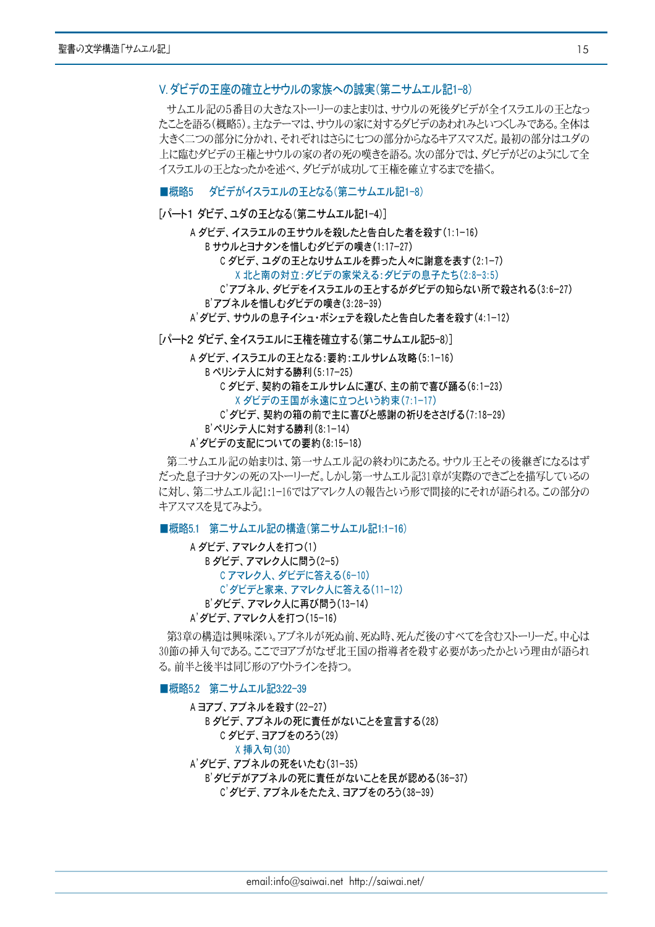# Ⅴ ダビデの王座の確立とサウルの家族への誠実(第二サムエル記1-8)

サムエル記の5番目の大きなストーリーのまとまりは、サウルの死後ダビデが全イスラエルの王となっ たことを語る(概略5)。主なテーマは、サウルの家に対するダビデのあわれみといつくしみである。全体は 大きく二つの部分に分かれ、それぞれはさらに七つの部分からなるキアスマスだ。最初の部分はユダの 上に臨むダビデの干権とサウルの家の者の死の嘆きを語る。次の部分では、ダビデがどのようにして全 イスラエルの王となったかを述べ、ダビデが成功して王権を確立するまでを描く。

# ■概略5 ダビデがイスラエルの王となる(第二サムエル記1-8)

# [パート1 ダビデ、ユダの王となる(第二サムエル記1-4)]

A ダビデ、イスラエルの王サウルを殺したと告白した者を殺す(1:1-16) Bサウルとヨナタンを惜しむダビデの嘆き(1:17-27) C ダビデ、ユダの王となりサムエルを葬った人々に謝意を表す(2:1-7) X 北と南の対立:ダビデの家栄える:ダビデの息子たち(2:8-3:5) C'アブネル、ダビデをイスラエルの王とするがダビデの知らない所で殺される(3:6-27) B'アブネルを惜しむダビデの嘆き(3:28-39)

A' ダビデ、サウルの息子イシュ・ボシェテを殺したと告白した者を殺す(4:1-12)

[パート2 ダビデ、全イスラエルに王権を確立する(第二サムエル記5-8)]

A ダビデ、イスラエルの王となる:要約:エルサレム攻略(5:1-16) Bペリシテ人に対する勝利(5:17-25) Cダビデ、契約の箱をエルサレムに運び、主の前で喜び踊る(6:1-23) X ダビデの王国が永遠に立つという約束(7:1-17) C' ダビデ、契約の箱の前で主に喜びと感謝の祈りをささげる(7:18-29) B'ペリシテ人に対する勝利(8:1-14)

A'ダビデの支配についての要約(8:15-18)

第二サムエル記の始まりは、第一サムエル記の終わりにあたる。サウル王とその後継ぎになるはず だった息子ヨナタンの死のストーリーだ。しかし第一サムエル記31章が実際のできごとを描写しているの に対し、第二サムエル記1:1-16ではアマレク人の報告という形で間接的にそれが語られる。この部分の キアスマスを見てみよう。

■概略5.1 第二サムエル記の構造(第二サムエル記1:1-16)

A ダビデ、アマレク人を打つ(1) B ダビデ、アマレク人に問う(2-5) Cアマレク人、ダビデに答える(6-10) C' ダビデと家来、アマレク人に答える(11-12) B' ダビデ、アマレク人に再び問う(13-14) A' ダビデ、アマレク人を打つ(15-16)

第3章の構造は興味深い。アブネルが死ぬ前、死ぬ時、死んだ後のすべてを含むストーリーだ。中心は 30節の挿入句である。ここでヨアブがなぜ北王国の指導者を殺す必要があったかという理由が語られ る。前半と後半は同じ形のアウトラインを持つ。

■概略5.2 第二サムエル記3:22-39

A ヨアブ、アブネルを殺す(22-27) B ダビデ、アブネルの死に青任がないことを宣言する(28) C ダビデ、ヨアブをのろう(29) X 挿入句(30) A'ダビデ、アブネルの死をいたむ(31-35) B'ダビデがアブネルの死に青任がないことを民が認める(36-37) C' ダビデ、アブネルをたたえ、ヨアブをのろう(38-39)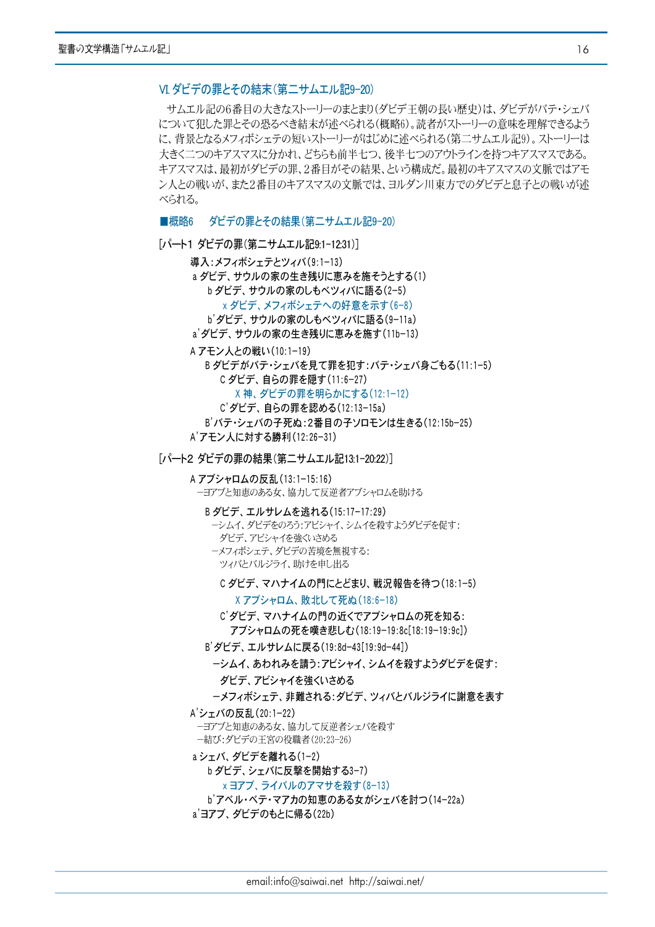# VI ダビデの罪とその結末(第二サムエル記9-20)

サムエル記の6番目の大きなストーリーのまとまり(ダビデ王朝の長い歴史)は、ダビデがバテ・シェバ について犯した罪とその恐るべき結末が述べられる(概略6)。読者がストーリーの意味を理解できるよう に、背景となるメフィボシェテの短いストーリーがはじめに述べられる(第二サムエル記9)。ストーリーは 大きく二つのキアスマスに分かれ、どちらも前半七つ、後半七つのアウトラインを持つキアスマスである。 キアスマスは、最初がダビデの罪、2番目がその結果、という構成だ。最初のキアスマスの文脈ではアモ ン人との戦いが、また2番目のキアスマスの文脈では、ヨルダン川東方でのダビデと息子との戦いが述 べられる。

■概略6 ダビデの罪とその結果(第二サムエル記9-20)

- 「パート1 ダビデの罪(第二サムエル記9:1-12:31)]
	- 導入:メフィボシェテとツィバ(9:1-13) a ダビデ、サウルの家の生き残りに恵みを施そうとする(1) b ダビデ、サウルの家のしもベツィバに語る(2-5) x ダビデ、メフィボシェテへの好意を示す(6-8)
		- b' ダビデ、サウルの家のしもベツィバに語る(9-11a)
	- a'ダビデ、サウルの家の生き残りに恵みを施す(11b-13)
	- A アモン人との戦い(10:1-19)

B ダビデがバテ・シェバを見て罪を犯す:バテ・シェバ身ごもる(11:1-5) C ダビデ、自らの罪を隠す(11:6-27)

X神、ダビデの罪を明らかにする(12:1-12)

- C'ダビデ、自らの罪を認める(12:13-15a)
- B'バテ・シェバの子死ぬ:2番目の子ソロモンは生きる(12:15b-25)
- A'アモン人に対する勝利(12:26-31)
- [パート2 ダビデの罪の結果(第二サムエル記13:1-20:22)]
	- A アブシャロムの反乱 (13:1-15:16) ーヨアブと知恵のある女、協力して反逆者アブシャロムを助ける
		- B ダビデ、エルサレムを逃れる(15:17-17:29)
			- ーシムイ、ダビデをのろう:アビシャイ、シムイを殺すようダビデを促す:
			- ダビデ、アビシャイを強くいさめる
			- ーメフィボシェテ、ダビデの苦境を無視する: ツィバとバルジライ、助けを申し出る
				- C ダビデ、マハナイムの門にとどまり、戦況報告を待つ(18:1-5)

X アブシャロム、 助北して死ぬ (18:6-18)

- C'ダビデ、マハナイムの門の近くでアブシャロムの死を知る: アブシャロムの死を嘆き悲しむ(18:19-19:8c[18:19-19:9c])
- B'ダビデ、エルサレムに戻る(19:8d-43[19:9d-44])
	- ーシムイ、あわれみを請う:アビシャイ、シムイを殺すようダビデを促す: ダビデ、アビシャイを強くいさめる
	- ーメフィボシェテ、非難される:ダビデ、ツィバとバルジライに謝意を表す
- A'シェバの反乱(20:1-22)
	- ーヨアブと知恵のある女、協力して反逆者シェバを殺す ー結び:ダビデの王宮の役職者(20:23-26)
- aシェバ、ダビデを離れる(1-2)
	- b ダビデ、シェバに反撃を開始する3-7)
	- x ヨアブ、ライバルのアマサを殺す(8-13)
	- b'アベル・ベテ・マアカの知恵のある女がシェバを討つ(14-22a)
- a'ヨアブ、ダビデのもとに帰る(22b)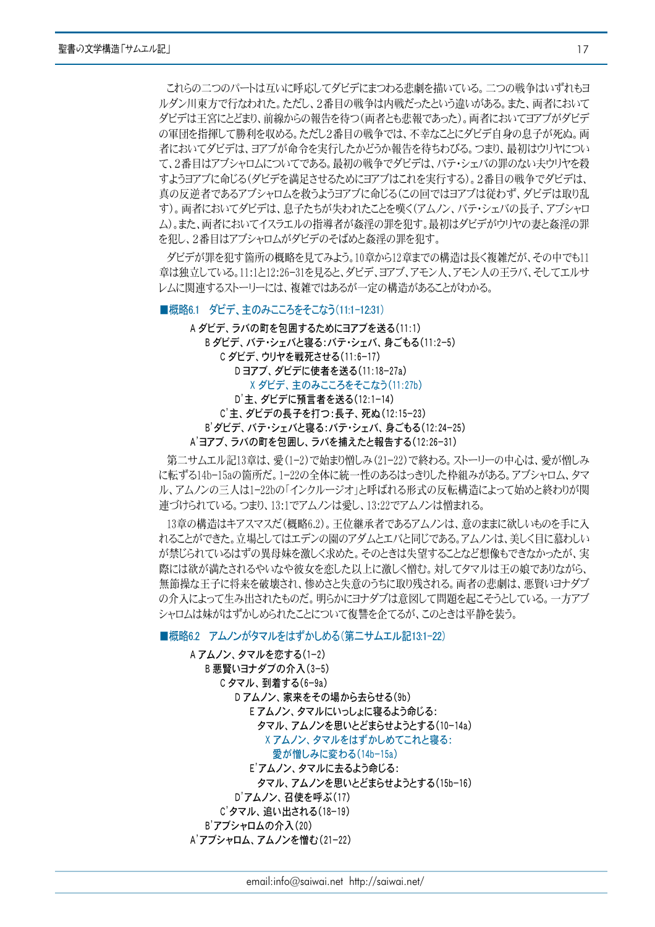これらの二つのパートは互いに呼応してダビデにまつわる悲劇を描いている。二つの戦争はいずれもヨ ルダン川東方で行なわれた。ただし、2番目の戦争は内戦だったという違いがある。また、両者において ダビデは王宮にとどまり、前線からの報告を待つ(両者とも悲報であった)。両者においてヨアブがダビデ の軍団を指揮して勝利を収める。ただし2番目の戦争では、不幸なことにダビデ自身の息子が死ぬ。両 者においてダビデは、ヨアブが命令を実行したかどうか報告を待ちわびる。つまり、最初はウリヤについ て、2番目はアブシャロムについてである。最初の戦争でダビデは、バテ・シェバの罪のない夫ウリヤを殺 すようヨアブに命じる(ダビデを満足させるためにヨアブはこれを実行する)。2番目の戦争でダビデは、 真の反逆者であるアブシャロムを救うようヨアブに命じる(この回ではヨアブは従わず、ダビデは取り乱 す)。両者においてダビデは、息子たちが失われたことを嘆く(アムノン、バテ・シェバの長子、アブシャロ ム)。また、両者においてイスラエルの指導者が姦淫の罪を犯す。最初はダビデがウリヤの妻と姦淫の罪 を犯し、2番目はアブシャロムがダビデのそばめと姦淫の罪を犯す。

ダビデが罪を犯す箇所の概略を見てみよう。10章から12章までの構造は長く複雑だが、その中でも11 章は独立している。11:1と12:26-31を見ると、ダビデ、ヨアブ、アモン人、アモン人の王ラバ、そしてエルサ レムに関連するストーリーには、複雑ではあるが一定の構造があることがわかる。

■概略6.1 ダビデ、主のみこころをそこなう(11:1-12:31)

A ダビデ、ラバの町を包囲するためにヨアブを送る(11:1) B ダビデ、バテ・シェバと寝る:バテ・シェバ、身ごもる(11:2-5) C ダビデ、ウリヤを戦死させる(11:6-17) Dヨアブ、ダビデに使者を送る(11:18-27a) X ダビデ、主のみこころをそこなう(11:27b) D'主、ダビデに預言者を送る(12:1-14) C'主、ダビデの長子を打つ:長子、死ぬ(12:15-23) B'ダビデ、バテ・シェバと寝る:バテ・シェバ、身ごもる(12:24-25) A'ヨアブ、ラバの町を包囲し、ラバを捕えたと報告する(12:26-31)

第二サムエル記13章は、愛(1-2)で始まり憎しみ(21-22)で終わる。ストーリーの中心は、愛が憎しみ に転ずる14b-15aの箇所だ。1-22の全体に統一性のあるはっきりした枠組みがある。アブシャロム、タマ ル、アムノンの三人は1-22bの「インクルージオ」と呼ばれる形式の反転構造によって始めと終わりが関 連づけられている。つまり、13:1でアムノンは愛し、13:22でアムノンは憎まれる。

13章の構造はキアスマスだ(概略6.2)。王位継承者であるアムノンは、意のままに欲しいものを手に入 れることができた。立場としてはエデンの園のアダムとエバと同じである。アムノンは、美しく目に慕わしい が禁じられているはずの異母妹を激しく求めた。そのときは失望することなど想像もできなかったが、実 際には欲が満たされるやいなや彼女を恋した以上に激しく憎む。対してタマルは王の娘でありながら、 無節操な王子に将来を破壊され、惨めさと失意のうちに取り残される。両者の悲劇は、悪賢いヨナダブ の介入によって生み出されたものだ。明らかにヨナダブは意図して問題を起こそうとしている。一方アブ シャロムは妹がはずかしめられたことについて復讐を企てるが、このときは平静を装う。

## ■概略6.2 アムノンがタマルをはずかしめる(第二サムエル記13:1-22)

A アムノン、タマルを恋する(1-2) B 悪賢いヨナダブの介入(3-5) C タマル, 到着する(6-9a) Dアムノン、家来をその場から去らせる(9b) E アムノン、タマルにいっしょに寝るよう命じる: タマル、アムノンを思いとどまらせようとする(10-14a) X アムノン、タマルをはずかしめてこれと寝る: 愛が憎しみに変わる(14b-15a) E'アムノン、タマルに去るよう命じる: タマル、アムノンを思いとどまらせようとする(15b-16) D'アムノン、召使を呼ぶ(17) C'タマル、追い出される(18-19) B'アブシャロムの介入(20) A'アブシャロム、アムノンを憎む(21-22)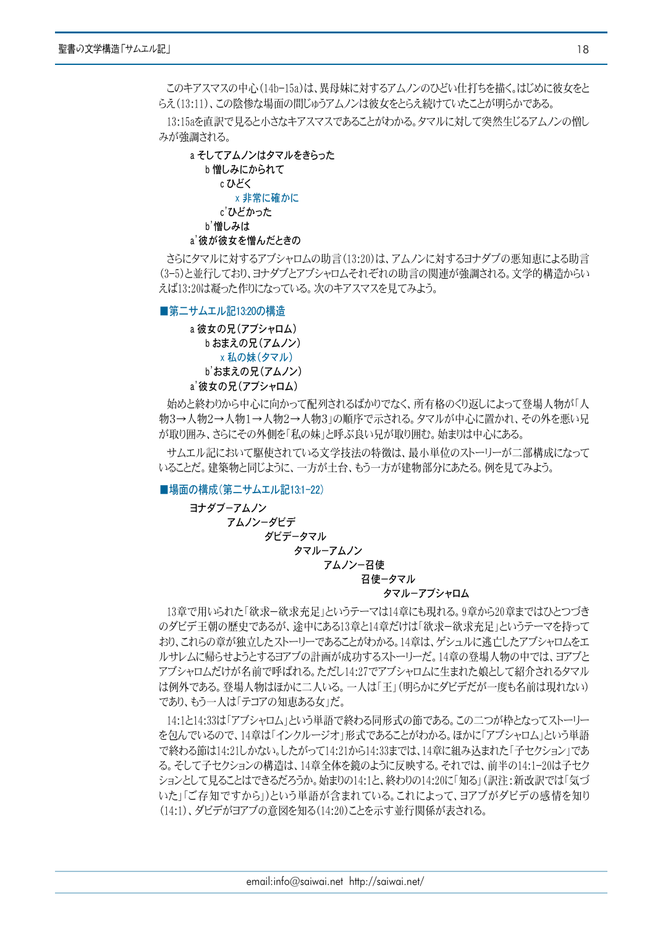このキアスマスの中心(14b-15a)は、異母妹に対するアムノンのひどい仕打ちを描く。はじめに彼女をと らえ(13:11)、この陰惨な場面の間じゅうアムノンは彼女をとらえ続けていたことが明らかである。

13:15aを直訳で見ると小さなキアスマスであることがわかる。タマルに対して突然生じるアムノンの憎し みが強調される。



さらにタマルに対するアブシャロムの助言(13:20)は、アムノンに対するヨナダブの悪知恵による助言 (3-5)と並行しており、ヨナダブとアブシャロムそれぞれの助言の関連が強調される。文学的構造からい えば13:20は凝った作りになっている。次のキアスマスを見てみよう。

■第二サムエル記13:20の構造

a 彼女の兄(アブシャロム) b おまえの兄(アムノン) x 私の妹(タマル) b'おまえの兄(アムノン) a'彼女の兄(アブシャロム)

始めと終わりから中心に向かって配列されるばかりでなく、所有格のくり返しによって登場人物が「人 物3→人物2→人物1→人物2→人物3」の順序で示される。タマルが中心に置かれ、その外を悪い兄 が取り囲み、さらにその外側を「私の妹」と呼ぶ良い兄が取り囲む。始まりは中心にある。

サムエル記において駆使されている文学技法の特徴は、最小単位のストーリーが二部構成になって いることだ。建築物と同じように、一方が土台、もう一方が建物部分にあたる。例を見てみよう。

■場面の構成(第二サムエル記13:1-22)

ヨナダブーアムノン アムノンーダビデ ダビデータマル タマルーアムノン

アムノンー召使

召使ータマル

# タマルーアブシャロム

13章で用いられた「欲求ー欲求充足」というテーマは14章にも現れる。9章から20章まではひとつづき のダビデ王朝の歴史であるが、途中にある13章と14章だけは「欲求-欲求充足」というテーマを持って おり、これらの章が独立したストーリーであることがわかる。14章は、ゲシュルに逃亡したアブシャロムをエ ルサレムに帰らせようとするヨアブの計画が成功するストーリーだ。14章の登場人物の中では、ヨアブと アブシャロムだけが名前で呼ばれる。ただし14:27でアブシャロムに生まれた娘として紹介されるタマル は例外である。登場人物はほかに二人いる。一人は「王」(明らかにダビデだが一度も名前は現れない) であり、もう一人は「テコアの知恵ある女」だ。

14:1と14:33は「アブシャロム」という単語で終わる同形式の節である。この二つが枠となってストーリー を包んでいるので、14章は「インクルージオ」形式であることがわかる。ほかに「アブシャロム」という単語 で終わる節は14:21しかない。したがって14:21から14:33までは、14章に組み込まれた「子セクション」であ る。そして子セクションの構造は、14章全体を鏡のように反映する。それでは、前半の14:1-20は子セク ションとして見ることはできるだろうか。始まりの14:1と、終わりの14:20に「知る」(訳注:新改訳では「気づ いた」「ご存知ですから」)という単語が含まれている。これによって、ヨアブがダビデの感情を知り (14:1)、ダビデがヨアブの意図を知る(14:20)ことを示す並行関係が表される。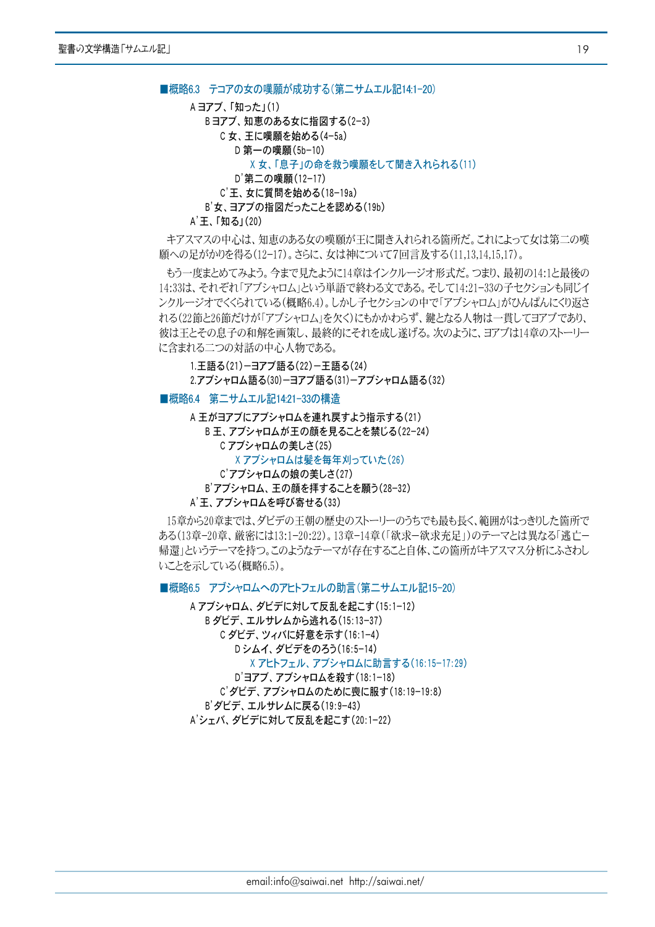```
■概略6.3 テコアの女の嘆願が成功する(第二サムエル記14.1-20)
```

```
A ヨアブ、「知った」(1)
```
- Bヨアブ、知恵のある女に指図する(2-3)
	- C女、王に嘆願を始める(4-5a) D 第一の嘆願(5b-10)

X 女、「息子」の命を救う嘆願をして聞き入れられる(11)

- D'第二の嘆願(12-17)
- C'王、女に質問を始める(18-19a)

B'女、ヨアブの指図だったことを認める(19b)

A'王、「知る」(20)

キアスマスの中心は、知恵のある女の嘆願が王に聞き入れられる箇所だ。これによって女は第二の嘆 願への足がかりを得る(12-17)。さらに、女は神について7回言及する(11,13,14,15,17)。

もう一度まとめてみよう。今まで見たように14章はインクルージオ形式だ。つまり、最初の14:1と最後の 14:33は、それぞれ「アブシャロム」という単語で終わる文である。そして14:21-33の子セクションも同じイ ンクルージオでくくられている(概略6.4)。しかし子セクションの中で「アブシャロム」がひんぱんにくり返さ れる(22節と26節だけが「アブシャロム」を欠く)にもかかわらず、鍵となる人物は一貫してヨアブであり、 彼は王とその息子の和解を画策し、最終的にそれを成し遂げる。次のように、ヨアブは14章のストーリー に含まれる二つの対話の中心人物である。

1.王語る(21)-ヨアブ語る(22)-王語る(24) 2.アブシャロム語る(30)ーヨアブ語る(31)ーアブシャロム語る(32)

# ■概略6.4 第二サムエル記14:21-33の構造

A 王がヨアブにアブシャロムを連れ戻すよう指示する(21) B 王、アブシャロムが王の顔を見ることを禁じる(22-24) C アブシャロムの美しさ(25) X アブシャロムは髪を毎年刈っていた(26) C'アブシャロムの娘の美しさ(27) B'アブシャロム、王の顔を拝することを願う(28-32) A' 王、アブシャロムを呼び寄せる(33)

15章から20章までは、ダビデの王朝の歴史のストーリーのうちでも最も長く、範囲がはっきりした箇所で ある(13章-20章、厳密には13:1-20:22)。13章-14章 (「欲求-欲求充足」)のテーマとは異なる「逃亡ー 帰還」というテーマを持つ。このようなテーマが存在すること自体、この箇所がキアスマス分析にふさわし いことを示している(概略6.5)。

■概略6.5 アブシャロムへのアヒトフェルの助言(第二サムエル記15-20)

A アブシャロム、ダビデに対して反乱を起こす(15:1-12) B ダビデ、エルサレムから逃れる(15:13-37) C ダビデ、ツィバに好意を示す(16:1-4) Dシムイ、ダビデをのろう(16:5-14) X アヒトフェル、アブシャロムに助言する(16:15-17:29) D'ヨアブ、アブシャロムを殺す(18:1-18)

C'グビデ、アブシャロムのために喪に服す(18:19-19:8) B'ダビデ、エルサレムに戻る(19:9-43)

A'シェバ、ダビデに対して反乱を起こす(20:1-22)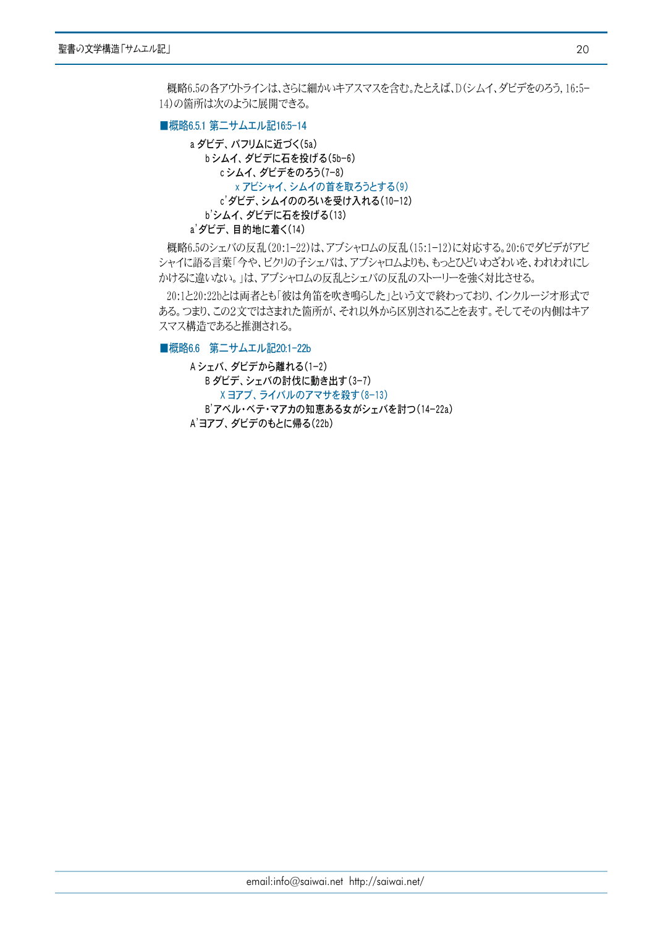概略6.5の各アウトラインは、さらに細かいキアスマスを含む。たとえば、D(シムイ、ダビデをのろう, 16:5-14)の箇所は次のように展開できる。

### ■概略6.5.1 第二サムエル記16:5-14

a ダビデ、バフリムに近づく(5a) bシムイ、ダビデに石を投げる(5b-6) cシムイ、ダビデをのろう(7-8) x アビシャイ、シムイの首を取ろうとする(9) c'ダビデ、シムイののろいを受け入れる(10-12) b'シムイ、ダビデに石を投げる(13) a' ダビデ、目的地に着く(14)

概略6.5のシェバの反乱(20:1-22)は、アブシャロムの反乱(15:1-12)に対応する。20:6でダビデがアビ シャイに語る言葉「今や、ビクリの子シェバは、アブシャロムよりも、もっとひどいわざわいを、われわれにし かけるに違いない。」は、アブシャロムの反乱とシェバの反乱のストーリーを強く対比させる。

20:1と20:22bとは両者とも「彼は角笛を吹き鳴らした」という文で終わっており、インクルージオ形式で ある。つまり、この2文ではさまれた箇所が、それ以外から区別されることを表す。そしてその内側はキア スマス構造であると推測される。

■概略6.6 第二サムエル記20:1-22b

Aシェバ、ダビデから離れる(1-2) B ダビデ、シェバの討伐に動き出す(3-7) X ヨアブ、ライバルのアマサを殺す(8-13) B'アベル・ベテ・マアカの知恵ある女がシェバを討つ(14-22a) A'ヨアブ、ダビデのもとに帰る(22b)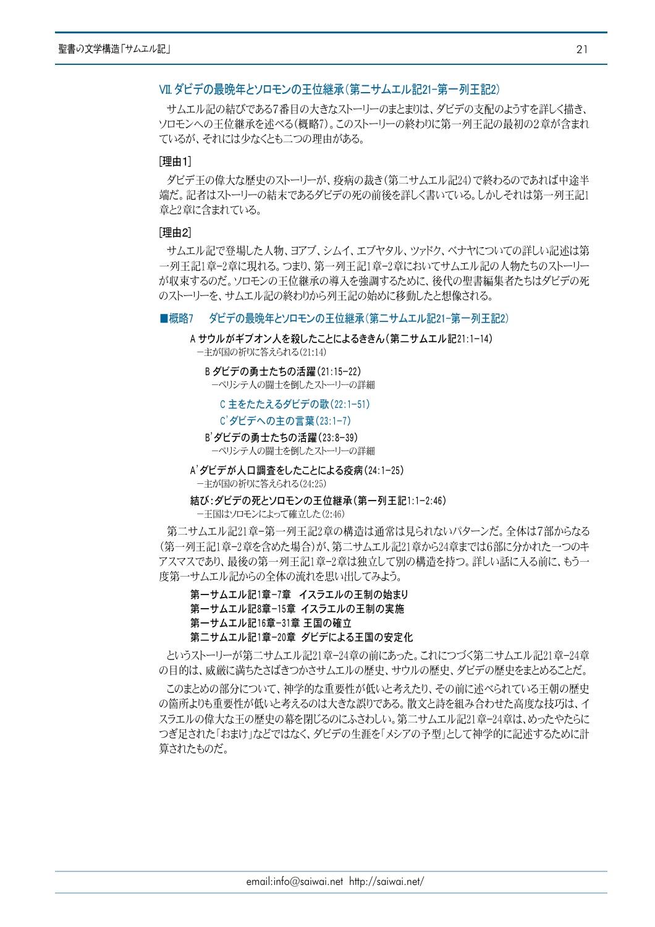# VII ダビデの最晩年とソロモンの王位継承(第二サムエル記21-第一列王記2)

サムエル記の結びである7番目の大きなストーリーのまとまりは、ダビデの支配のようすを詳しく描き、 ソロモンへの王位継承を述べる(概略7)。このストーリーの終わりに第一列王記の最初の2章が含まれ ているが、それには少なくとも二つの理由がある。

# [理由1]

ダビデ王の偉大な歴史のストーリーが、疫病の裁き(第二サムエル記24)で終わるのであれば中涂半 端だ。記者はストーリーの結末であるダビデの死の前後を詳しく書いている。しかしそれは第一列王記1 章と2章に含まれている。

#### 「理由2]

サムエル記で登場した人物、ヨアブ、シムイ、エブヤタル、ツァドク、ベナヤについての詳しい記述は第 一列王記1章-2章に現れる。つまり、第一列王記1章-2章においてサムエル記の人物たちのストーリー が収束するのだ。ソロモンの王位継承の導入を強調するために、後代の聖書編集者たちはダビデの死 のストーリーを、サムエル記の終わりから列王記の始めに移動したと想像される。

#### ダビデの最晩年とソロモンの王位継承(第二サムエル記21-第一列王記2) ■概略7

A サウルがギブオン人を殺したことによるききん(第二サムエル記21:1-14)

ー主が国の祈りに答えられる(21:14)

B ダビデの勇士たちの活躍(21:15-22) ーペリシテ人の闘士を倒したストーリーの詳細

C 主をたたえるダビデの歌 (22:1-51)

C'ダビデへの主の言葉(23:1-7)

B' ダビデの勇士たちの活躍 (23:8-39) ーペリシテ人の闘士を倒したストーリーの詳細

A' ダビデが人口調査をしたことによる疫病(24:1-25) ー主が国の祈りに答えられる(24:25)

結び:ダビデの死とソロモンの王位継承(第一列王記1:1-2:46)

一王国はソロモンによって確立した(2:46)

第二サムエル記21章-第一列王記2章の構造は通常は見られないパターンだ。全体は7部からなる (第一列王記1章–2章を含めた場合)が、第二サムエル記21章から24章までは6部に分かれた一つのキ アスマスであり、最後の第一列王記1章-2章は独立して別の構造を持つ。詳しい話に入る前に、もう一 度第一サムエル記からの全体の流れを思い出してみよう。

第一サムエル記1章-7章 イスラエルの王制の始まり

- 第一サムエル記8章-15章 イスラエルの王制の実施
- 第一サムエル記16章-31章 王国の確立

第二サムエル記1章-20章 ダビデによる王国の安定化

というストーリーが第二サムエル記21章-24章の前にあった。これにつづく第二サムエル記21章-24章 の目的は、威厳に満ちたさばきつかさサムエルの歴中、サウルの歴中、ダビデの歴中をまとめることだ。

このまとめの部分について、神学的な重要性が低いと考えたり、その前に述べられている王朝の歴史 の箇所よりも重要性が低いと考えるのは大きな誤りである。散文と詩を組み合わせた高度な技巧は、イ スラエルの偉大な王の歴史の幕を閉じるのにふさわしい。第二サムエル記21章-24章は、めったやたらに つぎ足された「おまけ」などではなく、ダビデの生涯を「メシアの予型」として神学的に記述するために計 算されたものだ。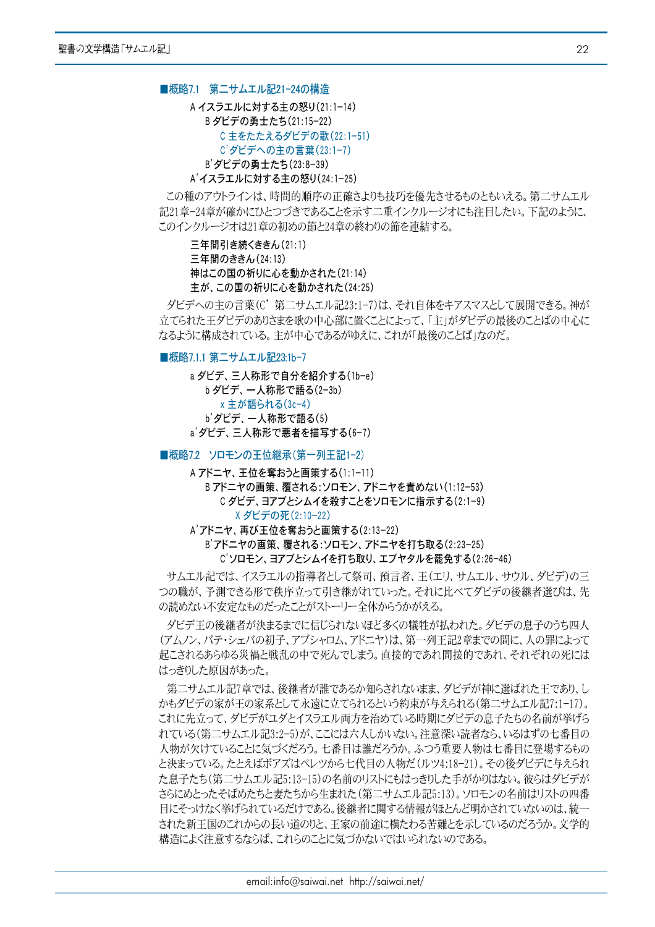■概略7.1 第二サムエル記21-24の構造

A イスラエルに対する主の怒り(21:1-14) Bダビデの勇士たち(21:15-22) C主をたたえるダビデの歌(22:1-51) C'ダビデへの主の言葉(23:1-7) B'ダビデの勇士たち(23:8-39) A'イスラエルに対する主の怒り(24:1-25)

この種のアウトラインは、時間的順序の正確さよりも技巧を優先させるものともいえる。第二サムエル 記21章-24章が確かにひとつづきであることを示す二重インクルージオにも注目したい。下記のように、 このインクルージオは21章の初めの節と24章の終わりの節を連結する。

三年間引き続くききん(21:1) 三年間のききん(24:13) 神はこの国の祈りに心を動かされた(21:14) 主が、この国の祈りに心を動かされた(24:25)

ダビデへの主の言葉(C' 第二サムエル記23:1-7)は、それ自体をキアスマスとして展開できる。神が 立てられた王ダビデのありさまを歌の中心部に置くことによって、「主」がダビデの最後のことばの中心に なるように構成されている。主が中心であるがゆえに、これが「最後のことば」なのだ。

■概略7.1.1 第二サムエル記23:1b-7

a ダビデ、三人称形で自分を紹介する(1b-e) b ダビデ、一人称形で語る(2-3b) x 主が語られる(3c-4) b' ダビデ、一人称形で語る(5) a'ダビデ、三人称形で悪者を描写する(6-7)

■概略72 ソロモンの王位継承(第一列王記1-2)

A アドニヤ、王位を奪おうと画策する(1:1-11) Bアドニヤの画策、覆される:ソロモン、アドニヤを責めない(1:12-53) C ダビデ、ヨアブとシムイを殺すことをソロモンに指示する(2:1-9) X ダビデの死(2:10−22)

A'アドニヤ、再び王位を奪おうと画策する(2:13-22)

B'アドニヤの画策、覆される:ソロモン、アドニヤを打ち取る(2:23-25) C'ソロモン、ヨアブとシムイを打ち取り、エブヤタルを罷免する(2:26-46)

サムエル記では、イスラエルの指導者として祭司、預言者、王(エリ、サムエル、サウル、ダビデ)の三 つの職が、予測できる形で秩序立って引き継がれていった。それに比べてダビデの後継者選びは、先 の読めない不安定なものだったことがストーリー全体からうかがえる。

ダビデ王の後継者が決まるまでに信じられないほど多くの犠牲が払われた。ダビデの息子のうち四人 (アムノン、バテ・シェバの初子、アブシャロム、アドニヤ)は、第一列王記2章までの間に、人の罪によって 起こされるあらゆる災禍と戦乱の中で死んでしまう。直接的であれ間接的であれ、それぞれの死には はっきりした原因があった。

第二サムエル記7章では、後継者が誰であるか知らされないまま、ダビデが神に選ばれた王であり、し かもダビデの家が王の家系として永遠に立てられるという約束が与えられる(第二サムエル記?:1-17)。 これに先立って、ダビデがユダとイスラエル両方を治めている時期にダビデの息子たちの名前が挙げら れている(第二サムエル記3:2-5)が、ここには六人しかいない。注意深い読者なら、いるはずの七番目の 人物が欠けていることに気づくだろう。七番目は誰だろうか。ふつう重要人物は七番目に登場するもの と決まっている。たとえばボアズはペレツから七代目の人物だ(ルツ4:18-21)。その後ダビデに与えられ た息子たち(第二サムエル記5:13-15)の名前のリストにもはっきりした手がかりはない。彼らはダビデが さらにめとったそばめたちと妻たちから生まれた(第二サムエル記5:13)。ソロモンの名前はリストの四番 目にそっけなく挙げられているだけである。後継者に関する情報がほとんど明かされていないのは、統一 された新王国のこれからの長い道のりと、王家の前途に横たわる苦難とを示しているのだろうか。文学的 構造によく注意するならば、これらのことに気づかないではいられないのである。